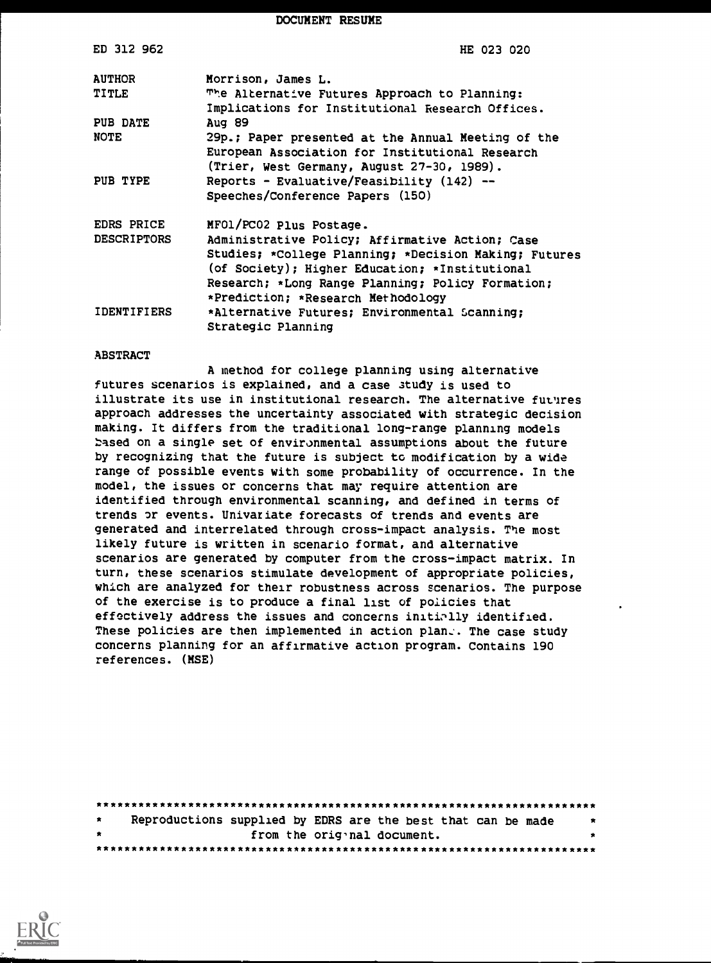DOCUMENT RESUME

| ED 312 962         | HE 023 020                                                                                          |
|--------------------|-----------------------------------------------------------------------------------------------------|
| <b>AUTHOR</b>      | Morrison, James L.                                                                                  |
| <b>TITLE</b>       | The Alternative Futures Approach to Planning:<br>Implications for Institutional Research Offices.   |
| PUB DATE           | Aug 89                                                                                              |
| <b>NOTE</b>        | 29p.; Paper presented at the Annual Meeting of the                                                  |
|                    | European Association for Institutional Research<br>(Trier, West Germany, August 27-30, 1989).       |
| PUB TYPE           | Reports - Evaluative/Feasibility (142) --                                                           |
|                    | Speeches/Conference Papers (150)                                                                    |
| EDRS PRICE         | MFO1/PCO2 Plus Postage.                                                                             |
| <b>DESCRIPTORS</b> | Administrative Policy; Affirmative Action; Case                                                     |
|                    | Studies; *College Planning; *Decision Making; Futures                                               |
|                    | (of Society); Higher Education; *Institutional<br>Research; *Long Range Planning; Policy Formation; |
|                    | *Prediction; *Research Methodology                                                                  |
| IDENTIFIERS        | *Alternative Futures; Environmental Scanning;                                                       |
|                    | Strategic Planning                                                                                  |
|                    |                                                                                                     |

#### ABSTRACT

A method for college planning using alternative futures scenarios is explained, and a case study is used to illustrate its use in institutional research. The alternative futures approach addresses the uncertainty associated with strategic decision making. It differs from the traditional long-range planning models hased on a single set of environmental assumptions about the future by recognizing that the future is subject to modification by a wide range of possible events with some probability of occurrence. In the model, the issues or concerns that may require attention are identified through environmental scanning, and defined in terms of trends or events. Univariate forecasts of trends and events are generated and interrelated through cross-impact analysis. The most likely future is written in scenario format, and alternative scenarios are generated by computer from the cross-impact matrix. In turn, these scenarios stimulate development of appropriate policies, which are analyzed for their robustness across scenarios. The purpose of the exercise is to produce a final list of policies that effectively address the issues and concerns initially identified. These policies are then implemented in action plane. The case study concerns planning for an affirmative action program. Contains 190 references. (MSE)

| $\star$ | Reproductions supplied by EDRS are the best that can be made<br>大 |  |
|---------|-------------------------------------------------------------------|--|
| $\star$ | from the origenal document.                                       |  |
|         |                                                                   |  |

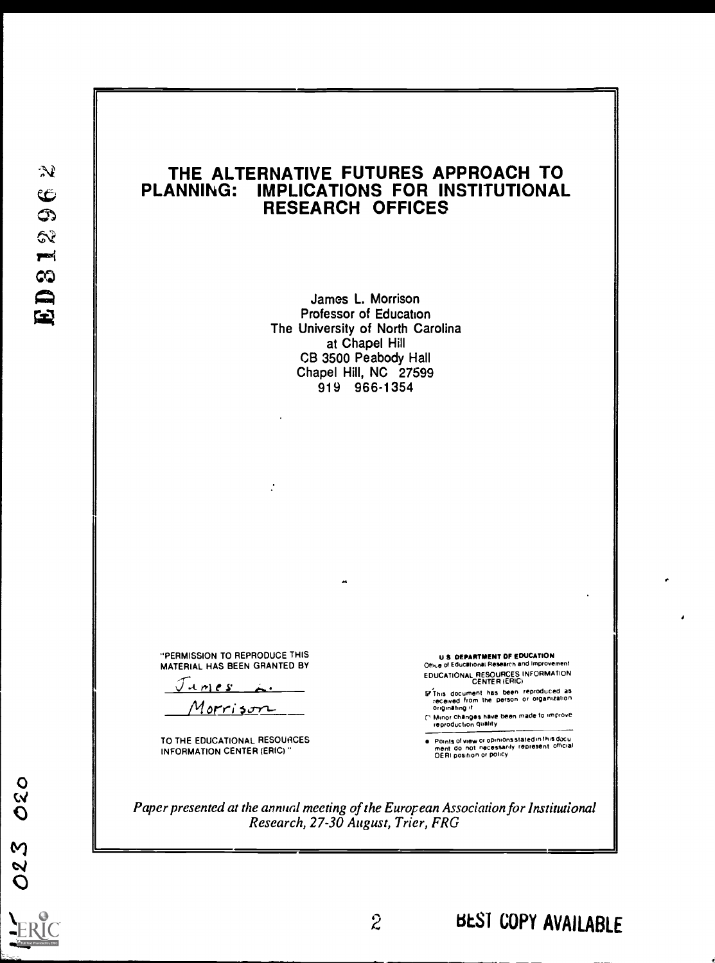# THE ALTERNATIVE FUTURES APPROACH TO<br>PLANNING: IMPLICATIONS FOR INSTITUTIONAL IMPLICATIONS FOR INSTITUTIONAL RESEARCH OFFICES

James L. Morrison Professor of Education The University of North Carolina at Chapel Hill CB 3500 Peabody Hall Chapel Hill, NC 27599 919 966-1354

"PERMISSION TO REPRODUCE THIS MATERIAL HAS BEEN GRANTED BY

 $unies$ <u>Morrigon</u>

TO THE EDUCATIONAL RESOURCES INFORMATION CENTER (ERIC)"

U S DEPARTMENT OF EDUCATION OM,. of Educatronal Research and Improvement EDUCATIONAL RESOURCES INFORMATION CENTER (ERIC)

This document has been reproduced as received from the person or organaabon originating it

r Minor changes have been made to improve reproduction Cluallt1l

Points 01 view or opinions Stated m this docu ment do not necessarily represent official OE RI pOsMon or policy

Paper presented at the annual meeting of the European Association for Institutional Research, 27-30 August, Trier, FRG

 $\blacksquare$ 

2 BEST COPY AVAILABLE

020 023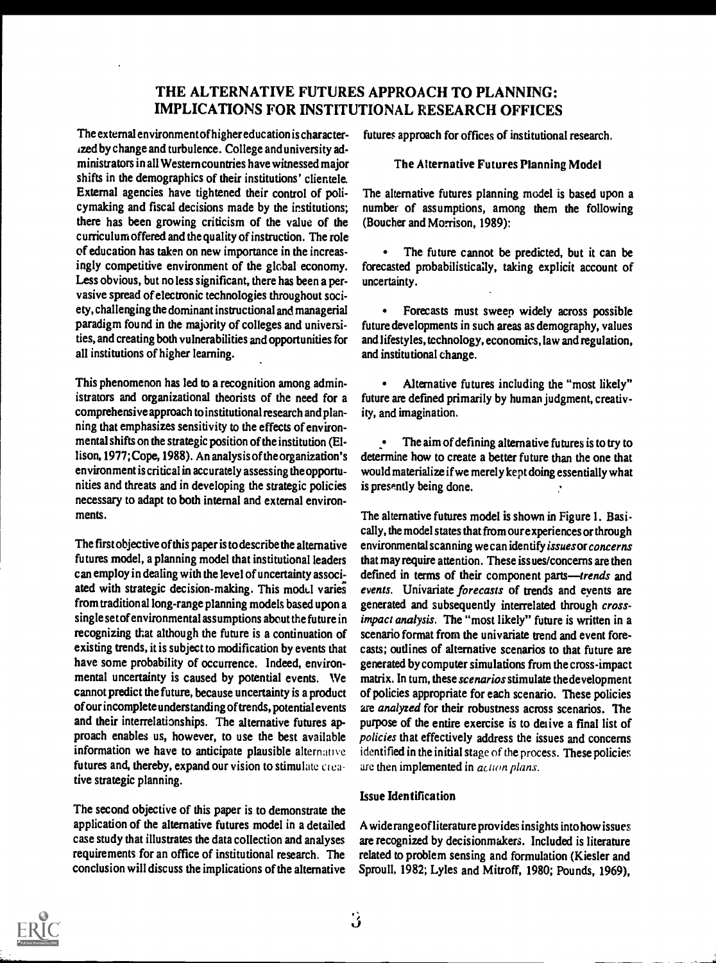# THE ALTERNATIVE FUTURES APPROACH TO PLANNING: IMPLICATIONS FOR INSTITUTIONAL RESEARCH OFFICES

The external environment of higher education is charac terazed by change and turbulence. College and university administrators in all Western countries have witnessed major shifts in the demographics of their institutions' clientele. External agencies have tightened their control of policymaking and fiscal decisions made by the institutions; there has been growing criticism of the value of the curriculum offered and the quality of instruction. The role of education has taken on new importance in the increasingly competitive environment of the global economy. Less obvious, but no less significant, there has been a pervasive spread of electronic technologies throughout society, challenging the dominant instructional and managerial paradigm found in the majority of colleges and universities, and creating both vulnerabilities and opportunities for all institutions of higher learning.

This phenomenon has led to a recognition among administrators and organizational theorists of the need for a comprehensive approach to institutional research and planning that emphasizes sensitivity to the effects of environmental shifts on the strategic position of the institution (Ellison, 1977; Cope, 1988). An analysis of the organization's environment is critical in accurately assessing the opportunities and threats and in developing the strategic policies necessary to adapt to both internal and external environments.

The first objective of this paper is to describe the alternative futures model, a planning model that institutional leaders can employ in dealing with the level of uncertainty associated with strategic decision-making. This model varies from traditional long-range planning models based upon a single setof environmental assumptions about the future in recognizing that although the future is a continuation of existing trends, it is subject to modification by events that have some probability of occurrence. Indeed, environmental uncertainty is caused by potential events. We cannot predict the future, because uncertainty is a product of our incomplete understanding of trends, potential events and their interrelationships. The alternative futures approach enables us, however, to use the best available information we have to anticipate plausible alternative futures and, thereby, expand our vision to stimulate creative strategic planning.

The second objective of this paper is to demonstrate the application of the alternative futures model in a detailed case study that illustrates the data collection and analyses requirements for an office of institutional research. The conclusion will discuss the implications of the alternative

futures approach for offices of institutional research.

### The Alternative Futures Planning Model

The alternative futures planning model is based upon a number of assumptions, among them the following (Boucher and Morrison, 1989):

The future cannot be predicted, but it can be forecasted probabilistically, taking explicit account of uncertainty.

Forecasts must sweep widely across possible future developments in such areas as demography, values and lifestyles, technology, economics, law and regulation, and institutional change.

 $\bullet$ Alternative futures including the "most likely" future are defined primarily by human judgment, creativity, and imagination.

The aim of defining alternative futures is to try to  $\bullet$ determine how to create a better future than the one that would materialize if we merely kept doing essentially what is presently being done.

The alternative futures model is shown in Figure 1. Basically, the model states that from our experiences or through environmental scanning we can identify issuesor concerns that may require attention. These issues/concerns are then defined in terms of their component parts—trends and events. Univariate forecasts of trends and events are generated and subsequently interrelated through crossimpact analysis. The "most likely" future is written in a scenario format from the univariate trend and event forecasts; outlines of alternative scenarios to that future are generated by computer simulations from the cross-impact matrix. In turn, these scenarios stimulate the development of policies appropriate for each scenario. These policies are analyzed for their robustness across scenarios. The purpose of the entire exercise is to derive a final list of policies that effectively address the issues and concerns identified in the initial stage of the process. These policies are then implemented in *action plans*.

## Issue Identification

A wide range of literature provides insights into how issues are recognized by decisionmakers. Included is literature related to problem sensing and formulation (Kiesler and Sproull, 1982; Lyles and Mitroff, 1980; Pounds, 1969),

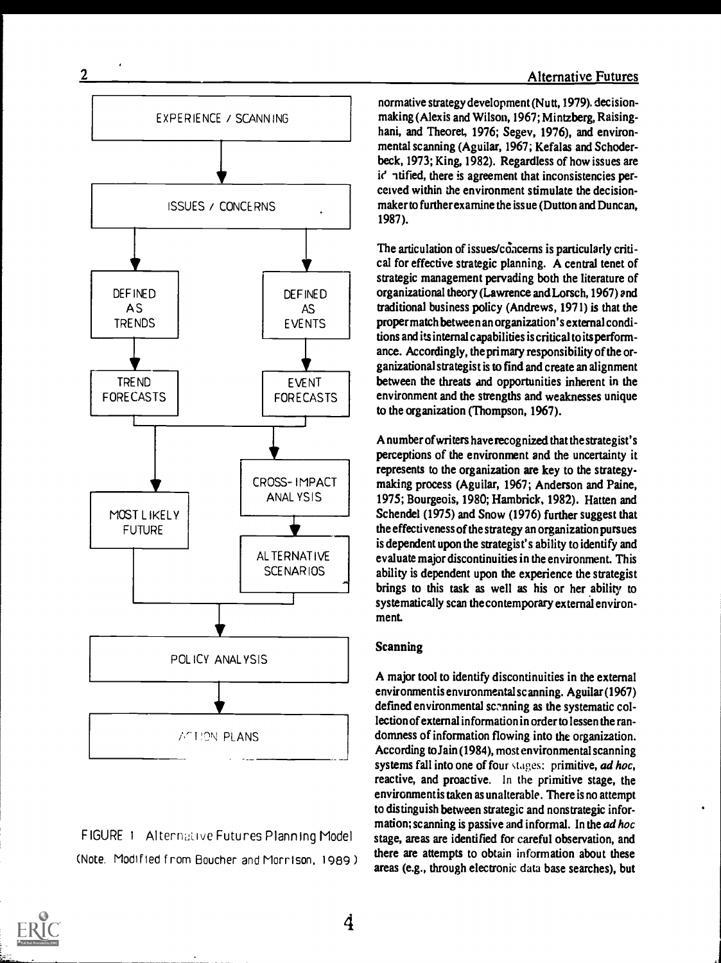hani, and Theoret, 1976; Segev, 1976), and environmental scanning (Aguilar, 1967; Kefalas and Schoderbeck, 1973; King, 1982). Regardless of how issues are id 'utified, there is agreement that inconsistencies perceived within the environment stimulate the decisionmaker to further examine the issue (Dutton and Duncan, 1987).

**V** cal for effective strategic planning. A central tenet of  $\Sigma$  ganizational strategist is to find and create an alignment The articulation of issues/concerns is particularly critistrategic management pervading both the literature of organizational theory (Lawrence and Lorsch, 1967) and traditional business policy (Andrews, 1971) is that the proper match between an organization's external conditions and its internal capabilities is critical to its performance. Accordingly, the primary responsibility of the orbetween the threats and opportunities inherent in the environment and the strengths and weaknesses unique to the organization (Thompson, 1967).

> A number of writers have recognized that the strategist's perceptions of the environment and the uncertainty it represents to the organization are key to the strategymaking process (Aguilar, 1967; Anderson and Paine, 1975; Bourgeois, 1980; Hambrick, 1982). Hatten and Schendel (1975) and Snow (1976) further suggest that the effectiveness of the strategy an organization pursues is dependent upon the strategist's ability to identify and evaluate major discontinuities in the environment. This ability is dependent upon the experience the strategist brings to this task as well as his or her ability to systematically scan the contemporary external environment.

### Scanning

A major tool to identify discontinuities in the external environment is environmental scanning. Aguilar (1967) defined environmental scanning as the systematic collection of external information in order to lessen the randomness of information flowing into the organization. According to Jain (1984), most environmental scanning systems fall into one of four stages: primitive, ad hoc, reactive, and proactive. In the primitive stage, the environment is taken as unalterable. There is no attempt to distinguish between strategic and nonstrategic information; scanning is passive and informal. In the ad hoc stage, areas are identified for careful observation, and there are attempts to obtain information about these areas (e.g., through electronic data base searches), but



EXPERIENCE / SCANNING

ISSUES / CONCERNS

DEFINED AS

 $\bullet$  and  $\bullet$  and  $\bullet$  and  $\bullet$  and  $\bullet$  and  $\bullet$  and  $\bullet$  and  $\bullet$  and  $\bullet$  and  $\bullet$  and  $\bullet$  and  $\bullet$  and  $\bullet$  and  $\bullet$  and  $\bullet$  and  $\bullet$  and  $\bullet$  and  $\bullet$  and  $\bullet$  and  $\bullet$  and  $\bullet$  and  $\bullet$  and  $\bullet$  and  $\bullet$  and  $\bullet$ 

DEFINED AS

FIGURE 1 Alternative Futures Planning Model (Note. Modified from Boucher and Morrison, 1989 )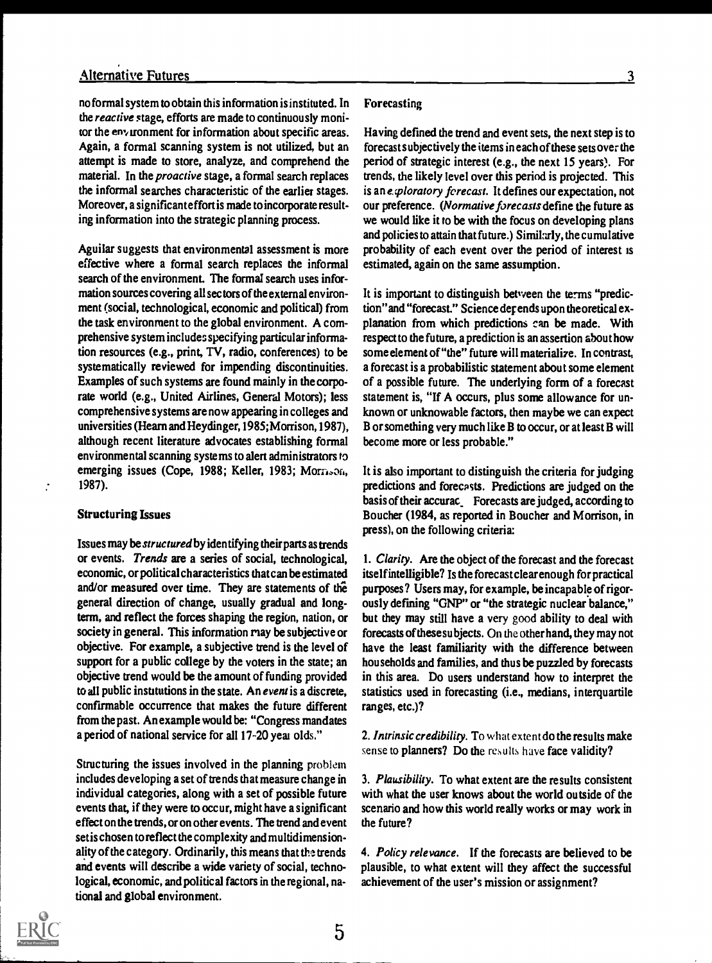no formal system to obtain this information is instituted. In the reactive stage, efforts are made to continuously monitor the environment for information about specific areas. Again, a formal scanning system is not utilized, but an attempt is made to store, analyze, and comprehend the material. In the *proactive* stage, a formal search replaces the informal searches characteristic of the earlier stages. Moreover, a significanteffort is made to incorporate resulting information into the strategic planning process.

Aguilar suggests that environmental assessment is more effective where a formal search replaces the informal search of the environment. The formal search uses information sources covering all sectors of the external environment (social, technological, economic and political) from the task environment to the global environment. A comprehensive system includes specifying particular information resources (e.g., print, TV, radio, conferences) to be systematically reviewed for impending discontinuities. Examples of such systems are found mainly in the corporate world (e.g., United Airlines, General Motors); less comprehensive systems are now appearing in colleges and universities (Hearn and Heydinger, 1985; Morrison, 1987), although recent literature advocates establishing formal environmental scanning systems to alert administrators to emerging issues (Cope, 1988; Keller, 1983; Mornson, 1987).

## Structuring Issues

 $\ddot{\cdot}$ 

Issues may be structured by identifying their parts as trends or events. Trends are a series of social, technological, economic, or political characteristics that can be estimated and/or measured over time. They are statements of the general direction of change, usually gradual and longterm, and reflect the forces shaping the region, nation, or society in general. This information may be subjective or objective. For example, a subjective trend is the level of support for a public college by the voters in the state; an objective trend would be the amount of funding provided to all public institutions in the state. An event is a discrete, confirmable occurrence that makes the future different from the past. An example would be: "Congress mandates a period of national service for all 17-20 year olds."

Structuring the issues involved in the planning problem includes developing a set of trends that measure change in individual categories, along with a set of possible future events that, if they were to occur, might have a significant effect on the trends, or on other events. The trend and event set is chosen to reflect the complexity and multidimensionality of the category. Ordinarily, this means that the trends and events will describe a wide variety of social, technological, economic, and political factors in the regional, national and global environment.

## Forecasting

Having defined the trend and event sets, the next step is to forecast subjectively the items in each of these sets over the period of strategic interest (e.g., the next 15 years). For trends, the likely level over this period is projected. This is an e.ploratory forecast. It defines our expectation, not our preference. (Normative forecasts define the future as we would like it to be with the focus on developing plans and policies to attain that future.) Similarly, the cumulative probability of each event over the period of interest is estimated, again on the same assumption.

It is important to distinguish between the terms "prediction" and "forecast." Science def ends upon theoretical explanation from which predictions can be made. With respect to the future, a prediction is an assertion about how some element of "the" future will materialize. In contrast, a forecast is a probabilistic statement about some element of a possible future. The underlying form of a forecast statement is, "If A occurs, plus some allowance for unknown or unknowable factors, then maybe we can expect B or something very much like B to occur, or at least B will become more or less probable."

It is also important to distinguish the criteria for judging predictions and forecasts. Predictions are judged on the basis of their accurac. Forecasts are judged, according to Boucher (1984, as reported in Boucher and Morrison, in press), on the following criteria:

1. Clarity. Are the object of the forecast and the forecast itself intelligible? Is the forecast clear enough for practical purposes? Users may, for example, be incapable of rigorously defining "GNP" or "the strategic nuclear balance," but they may still have a very good ability to deal with forecasts of these subjects. On the other hand, they may not have the least familiarity with the difference between households and families, and thus be puzzled by forecasts in this area. Do users understand how to interpret the statistics used in forecasting (i.e., medians, interquartile ranges, etc.)?

2. Intrinsic credibility. To what extentdo the results make sense to planners? Do the results have face validity?

3. Plausibility. To what extent are the results consistent with what the user knows about the world outside of the scenario and how this world really works or may work in the future?

4. Policy relevance. If the forecasts are believed to be plausible, to what extent will they affect the successful achievement of the user's mission or assignment?

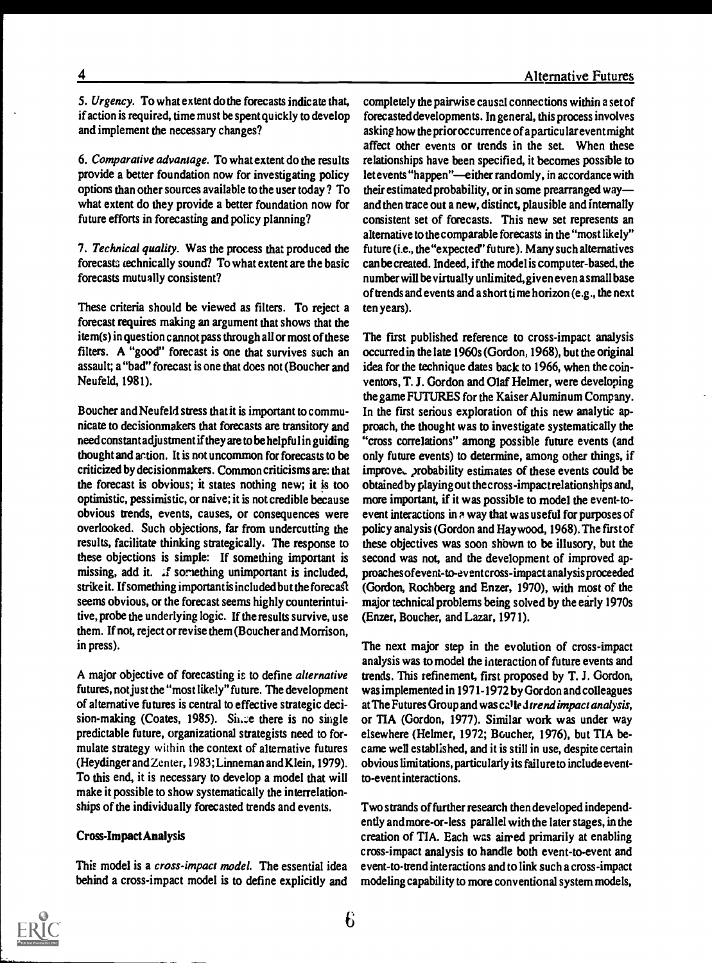5. Urgency. To what extent do the forecasts indicate that, if action is required, time must be spent quickly to develop and implement the necessary changes?

6. Comparative advantage. To what extent do the results provide a better foundation now for investigating policy options than other sources available to the user today ? To what extent do they provide a better foundation now for future efforts in forecasting and policy planning?

7. Technical quality. Was the process that produced the forecasts technically sound? To what extent are the basic forecasts mutually consistent?

These criteria should be viewed as filters. To reject a forecast requires making an argument that shows that the item(s) in question cannot pass through all or most of these filters. A "good" forecast is one that survives such an assault; a "bad" forecast is one that does not (Boucher and Neufeld, 1981).

Boucher and Neufeld stress that it is important to communicate to decisionmakers that forecasts are transitory and need constant adjustment if they are to be helpful in guiding thought and action. It is not uncommon for forecasts to be criticized by decisionmakers. Common criticisms are: that the forecast is obvious; it states nothing new; it is too optimistic, pessimistic, or naive; it is not credible because obvious trends, events, causes, or consequences were overlooked. Such objections, far from undercutting the results, facilitate thinking strategically. The response to these objections is simple: If something important is missing, add it.  $\Delta f$  something unimportant is included, strike it. If something important is included but the forecast seems obvious, or the forecast seems highly counterintuitive, probe the underlying logic. If the results survive, use them. If not, reject or revise them (Boucher and Morrison, in press).

A major objective of forecasting is to define alternative futures, not just the "most likely" future. The development of alternative futures is central to effective strategic decision-making (Coates, 1985). Since there is no single predictable future, organizational strategists need to formulate strategy within the context of alternative futures (Heydinger and Zenter, 1983;Linneman and Klein, 1979). To this end, it is necessary to develop a model that will make it possible to show systematically the interrelationships of the individually forecasted trends and events.

## Cross-Impact Analysis

This model is a cross-impact model. The essential idea behind a cross-impact model is to define explicitly and

completely the pairwise causal connections within a set of forecasted developments. In general, this process involves asking how the prioroccurrence of a particu lar event might affect other events or trends in the set. When these relationships have been specified, it becomes possible to let events "happen"—either randomly, in accordance with their estimated probability, or in some prearranged way and then trace out a new, distinct, plausible and internally consistent set of forecasts. This new set represents an alternative to the comparable forecasts in the "most likely" future (i.e., the "expected" future). Many such alternatives can be created. Indeed, if the model is computer-based, the number will be virtually unlimited, given even a small base of trends and events and a short time horizon (e.g., the next ten years).

The first published reference to cross-impact analysis occurred in the late 1960s (Gordon, 1968), but the original idea for the technique dates back to 1966, when the coinventors, T. J. Gordon and Olaf Helmer, were developing the game FUTURES for the Kaiser Aluminum Company. In the first serious exploration of this new analytic approach, the thought was to investigate systematically the "cross correlations" among possible future events (and only future events) to determine, among other things, if improve.. )robability estimates of these events could be obtained by playing out the cross-impac t relationships and, more important, if it was possible to model the event-toevent interactions in a way that was useful for purposes of policy analysis (Gordon and Haywood, 1968). The first of these objectives was soon shown to be illusory, but the second was not, and the development of improved approaches of event-to-event cross-impact analysis proceeded (Gordon, Rochberg and Enzer, 1970), with most of the major technical problems being solved by the early 1970s (Enzer, Boucher, and Lazar, 1971).

The next major step in the evolution of cross-impact analysis was to model the interaction of future events and trends. This refinement, first proposed by T. J. Gordon, was implemented in 1971-1972 by Gordon and colleagues at The Futures Group and was called trend impact analysis, or TIA (Gordon, 1977). Similar work was under way elsewhere (Helmer, 1972; Boucher, 1976), but TIA became well established, and it is still in use, despite certain obvious limitations, particularly its failure to include eventto-event interactions.

Two strands of further research then developed independently and more -or -less parallel with the later stages, in the creation of TIA. Each was aimed primarily at enabling cross-impact analysis to handle both event-to-event and event-to-trend interactions and to link such a cross-impact modeling capability to more conventional system models,

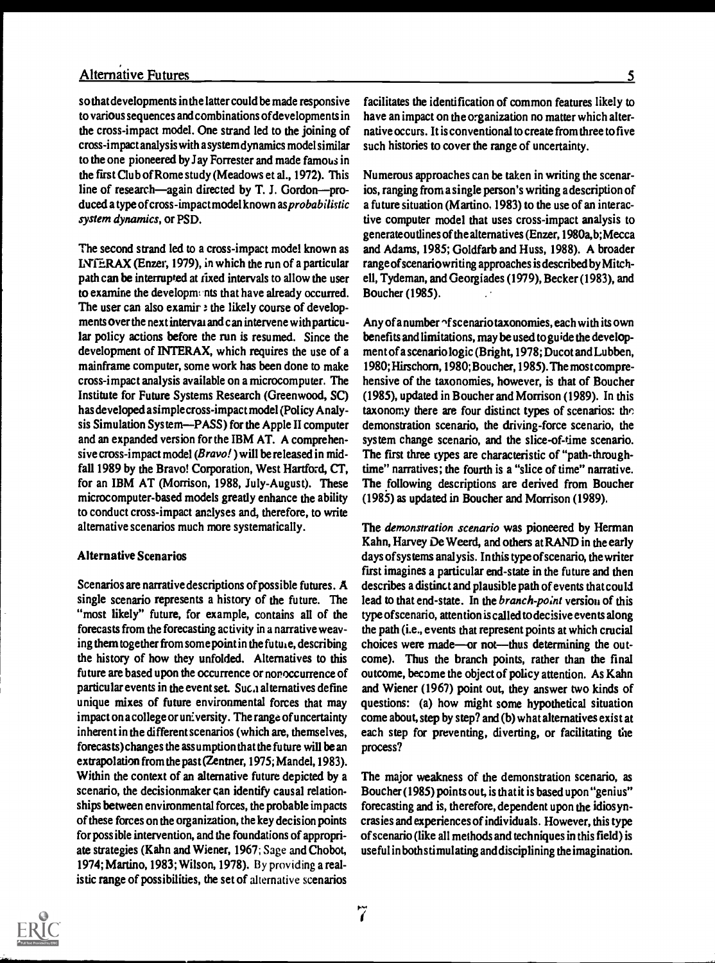so that developments in the latter could be made responsive to various sequences and combinations of developments in the cross-impact model. One strand led to the joining of cross-impact analysis with a system dynamics model similar to the one pioneered by Jay Forrester and made famous in the first Club of Rome study (Meadows et al., 1972). This line of research—again directed by T. J. Gordon—produced a type of cross-impact model known as probabilistic system dynamics, or PSD.

The second strand led to a cross-impact model known as INTERAX (Enzer, 1979), in which the run of a particular path can be interrupted at fixed intervals to allow the user to examine the developments that have already occurred. The user can also examir  $\epsilon$  the likely course of developments over the next interval and can intervene with particular policy actions before the run is resumed. Since the development of INTERAX, which requires the use of a mainframe computer, some work has been done to make cross-impact analysis available on a microcomputer. The Institute for Future Systems Research (Greenwood, SC) has developed a simple cross-impact model (Pol icy Analysis Simulation System-PASS) for the Apple II computer and an expanded version for the IBM AT. A comprehensive cross-impact model (Bravo!) will be released in midfall 1989 by the Bravo! Corporation, West Hartford, CT, for an IBM AT (Morrison, 1988, July-August). These microcomputer-based models greatly enhance the ability to conduct cross-impact analyses and, therefore, to write alternative scenarios much more systematically.

## Alternative Scenarios

Scenarios are narrative descriptions of possible futures. A single scenario represents a history of the future. The "most likely" future, for example, contains all of the forecasts from the forecasting activity in a narrative weaving them together from some point in the future, describing the history of how they unfolded. Alternatives to this future are based upon the occurrence or nonoccurrence of particular events in the event set. Suca alternatives define unique mixes of future environmental forces that may impact on a college or university. The range of uncertainty inherent in the different scenarios (which are, themselves, forecasts) changes the assumption that the future will be an extrapolation from the past (Zentner, 1975; Mandel, 1983). Within the context of an alternative future depicted by a scenario, the decisionmaker can identify causal relationships between environmental forces, the probable impacts of these forces on the organization, the key decision points for possible intervention, and the foundations of appropriate strategies (Kahn and Wiener, 1967; Sage and Chobot, 1974; Martino, 1983; Wilson, 1978). By providing a realistic range of possibilities, the set of alternative scenarios

facilitates the identification of common features likely to have an impact on the organization no matter which alternative occurs. It is conventional to create from three to five such histories to cover the range of uncertainty.

Numerous approaches can be taken in writing the scenarios, ranging from a single person's writing a description of a future situation (Martino, 1983) to the use of an interactive computer model that uses cross-impact analysis to generate outlines of the alternatives (Enzer, 1980a,b; Mecca and Adams, 1985; Goldfarb and Huss, 1988). A broader range of scenariowriting approaches is described by Mitchell, Tydeman, and Georgiades (1979), Becker (1983), and Boucher (1985).

Any of a number "fscenario taxonomies, each with its own benefits and limitations, may be used to guide the development of a scenario logic (Bright, 1978; Ducot and Lubben, 1980; Hirschorn, 1980; Boucher, 1985). The most comprehensive of the taxonomies, however, is that of Boucher (1985), updated in Boucher and Morrison (1989). In this taxonomy there are four distinct types of scenarios: the demonstration scenario, the driving-force scenario, the system change scenario, and the slice-of-time scenario. The first three types are characteristic of "path-throughtime" narratives; the fourth is a "slice of time" narrative. The following descriptions are derived from Boucher (1985) as updated in Boucher and Morrison (1989).

The demonstration scenario was pioneered by Herman Kahn, Harvey De Weerd, and others at RAND in the early days of sys tems analysis. In this type of scenario, the writer first imagines a particular end-state in the future and then describes a distinct and plausible path of events that could lead to that end-state. In the branch-point version of this type of scenario, attention is called to decisive events along the path (i.e., events that represent points at which crucial choices were made-or not-thus determining the outcome). Thus the branch points, rather than the final outcome, become the object of policy attention. As Kahn and Wiener (1967) point out, they answer two kinds of questions: (a) how might some hypothetical situation come about, step by step? and (b) what alternatives exist at each step for preventing, diverting, or facilitating the process?

The major weakness of the demonstration scenario, as Boucher (1985) points out, is that it is based upon "genius" forecasting and is, therefore, dependent upon the idiosyncrasies and experiences of individuals. However, this type of scenario (like all methods and techniques in this field) is useful in both stimulating and disciplining the imagination.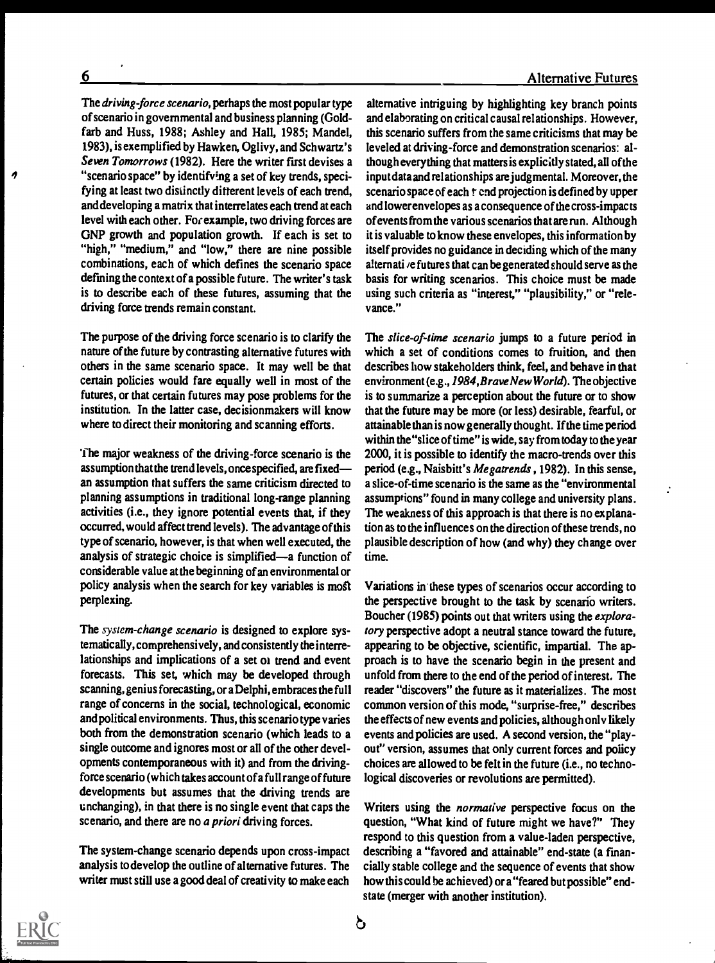4

The driving-force scenario, perhaps the most popular type of scenario in governmental and business planning (Goldfarb and Huss, 1988; Ashley and Hall, 1985; Mandel, 1983), is exemplified by Hawken, Oglivy, and Schwartz's Seven Tomorrows (1982). Here the writer first devises a "scenario space" by identifv'ng a set of key trends, specifying at least two distinctly different levels of each trend, and developing a matrix that interrelates each trend at each level with each other. For example, two driving forces are GNP growth and population growth. If each is set to "high," "medium," and "low," there are nine possible combinations, each of which defines the scenario space defining the context of a possible future. The writer's task is to describe each of these futures, assuming that the driving force trends remain constant.

The purpose of the driving force scenario is to clarify the nature of the future by contrasting alternative futures with others in the same scenario space. It may well be that certain policies would fare equally well in most of the futures, or that certain futures may pose problems for the institution. In the latter case, decisionmakers will know where to direct their monitoring and scanning efforts.

The major weakness of the driving-force scenario is the assumption that the trend levels, once specified, are fixed an assumption that suffers the same criticism directed to planning assumptions in traditional long-range planning activities (i.e., they ignore potential events that, if they occurred, would affect trend levels). The advantage of this type of scenario, however, is that when well executed, the analysis of strategic choice is simplified—a function of considerable value at the beginning of an environmental or policy analysis when the search for key variables is most perplexing.

The system-change scenario is designed to explore systematically, comprehensively, and consistently the interrelationships and implications of a set of trend and event forecasts. This set, which may be developed through scanning, genius forecasting, or a Delphi, embraces the full range of concerns in the social, technological, economic andpolitical environments. Thus, this scenario type varies both from the demonstration scenario (which leads to a single outcome and ignores most or all of the other developments contemporaneous with it) and from the drivingforce scenario (which takes account of a full range of future developments but assumes that the driving trends are unchanging), in that there is no single event that caps the scenario, and there are no a priori driving forces.

The system-change scenario depends upon cross-impact analysis to develop the outline of alternative futures. The writer must still use a good deal of creativity to make each

alternative intriguing by highlighting key branch points and elaborating on critical causal relationships. However, this scenario suffers from the same criticisms that may be leveled at driving-force and demonstration scenarios: although everything that matters is explicitly stated, all ofthe input data and relation ships are judgmental. Moreover, the scenario space of each  $\tau$  end projection is defined by upper and lowerenvelopes as a consequence of the cross-impacts of events from the various scenarios that are run. Although it is valuable to know these envelopes, this information by itself provides no guidance in deciding which of the many alternati *i*e futures that can be generated should serve as the basis for writing scenarios. This choice must be made using such criteria as "interest," "plausibility," or "relevance."

The slice-of-time scenario jumps to a future period in which a set of conditions comes to fruition, and then describes how stakeholders think, feel, and behave in that environment (e.g.,  $1984$ , Brave New World). The objective is to summarize a perception about the future or to show that the future may be more (or less) desirable, fearful, or attainable than is now generally thought. If the time period within the "slice of time" is wide, say from today to the year 2000, it is possible to identify the macro-trends over this period (e.g., Naisbitt's Megatrends, 1982). In this sense, a slice-of-time scenario is the same as the "environmental assumptions" found in many college and university plans. The weakness of this approach is that there is no explanation as to the influences on the direction of these trends, no plausible description of how (and why) they change over time.

Variations in'these types of scenarios occur according to the perspective brought to the task by scenario writers. Boucher (1985) points out that writers using the *explora*tory perspective adopt a neutral stance toward the future, appearing to be objective, scientific, impartial. The approach is to have the scenario begin in the present and unfold from there to the end of the period of interest, The reader "discovers" the future as it materializes. The most common version of this mode, "surprise-free," describes the effects of new events and policies, although only likely events and policies are used. A second version, the "playout" version, assumes that only current forces and policy choices are allowed to be felt in the future (i.e., no technological discoveries or revolutions are permitted).

Writers using the *normative* perspective focus on the question, "What kind of future might we have?" They respond to this question from a value-laden perspective, describing a "favored and attainable" end-state (a financially stable college and the sequence of events that show how this could be achieved) or a "feared but possible" endstate (merger with another institution).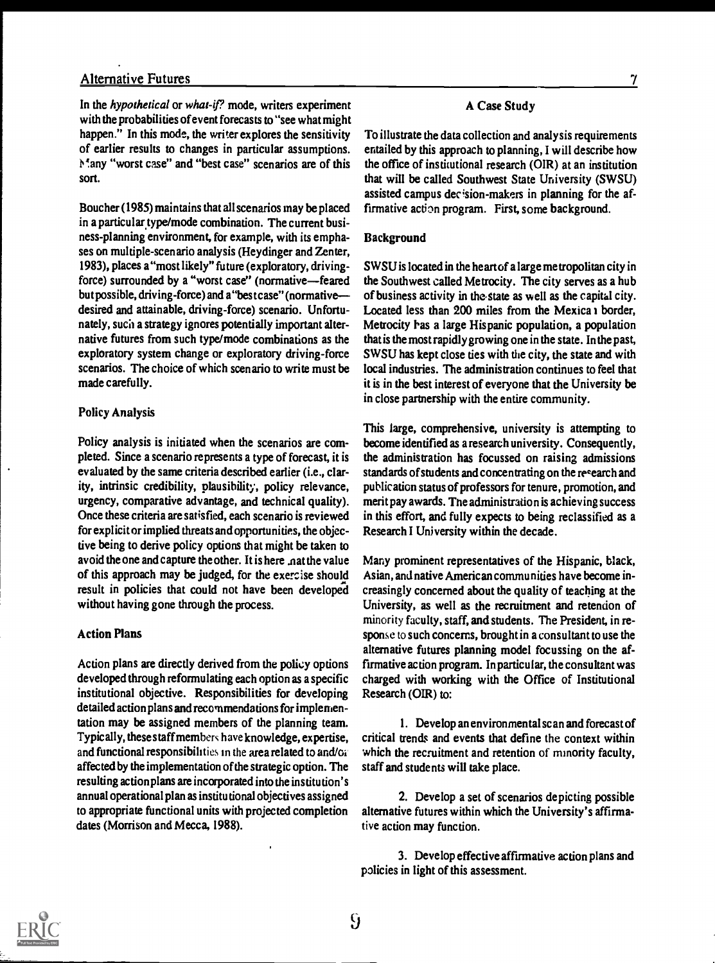In the hypothetical or what-if? mode, writers experiment with the probabilities of event forecasts to "see what might happen." In this mode, the writer explores the sensitivity of earlier results to changes in particular assumptions. Many "worst case" and "best case" scenarios are of this sort.

Boucher (1985) maintains that all scenarios may be placed in a particular type/mode combination. The current business-planning environment, for example, with its emphases on multiple-scenario analysis (Heydinger and Zenter, 1983), places a "most likely" future (exploratory, drivingforce) surrounded by a "worst case" (normative-feared but possible, driving-force) and a "best case" (normativedesired and attainable, driving-force) scenario. Unfortunately, such a strategy ignores potentially important alternative futures from such type/mode combinations as the exploratory system change or exploratory driving-force scenarios. The choice of which scenario to write must be made carefully.

## Policy Analysis

Policy analysis is initiated when the scenarios are completed. Since a scenario represents a type of forecast, it is evaluated by the same criteria described earlier (i.e., clarity, intrinsic credibility, plausibility, policy relevance, urgency, comparative advantage, and technical quality). Once these criteria are satisfied, each scenario is reviewed for explicit or implied threats and opportunities, the objective being to derive policy options that might be taken to avoid the one and capture the other. It is here .nat the value of this approach may be judged, for the exercise should result in policies that could not have been developed without having gone through the process.

## Action Plans

Action plans are directly derived from the policy options developed through reformulating each option as a specific institutional objective. Responsibilities for developing detailed action plans and recommendations for implementation may be assigned members of the planning team. Typically, these staff members have knowledge, expertise, and functional responsibilities in the area related to and/Gi affected by the implementation of the strategic option. The resulting action plans are incorporated into the institution's annual operational plan as institutional objectives assigned to appropriate functional units with projected completion dates (Morrison and Mecca, 1988).

## A Case Study

To illustrate the data collection and analysis requirements entailed by this approach to planning, I will describe how the office of institutional research (OIR) at an institution that will be called Southwest State University (SWSU) assisted campus dec'sion-makers in planning for the affirmative action program. First, some background.

### Background

SWSU is located in the heart of a large metropolitan city in the Southwest called Metrocity. The city serves as a hub of business activity in the State as well as the capital city. Located less than 200 miles from the Mexica I border, Metrocity has a large Hispanic population, a population that is the most rapidly growing one in the state. In the past, SWSU has kept close ties with the city, the state and with local industries. The administration continues to feel that it is in the best interest of everyone that the University be in close partnership with the entire community.

This large, comprehensive, university is attempting to become identified as a research university. Consequently, the administration has focussed on raising admissions standards of students and concentrating on the research and publication status of professors for tenure, promotion, and merit pay awards. Tne administration is achieving success in this effort, and fully expects to being reclassified as a Research I University within the decade.

Many prominent representatives of the Hispanic, black, Asian, and native American communities have become increasingly concerned about the quality of teaching at the University, as well as the recruitment and retention of minority faculty, staff, and students. The President, in response to such concerns, brought in a consultant to use the alternative futures planning model focussing on the affirmative action program. In particular, the consultant was charged with working with the Office of Institutional Research (OIR) to:

1. Develop an environmental scan and forecast of critical trends and events that define the context within which the recruitment and retention of minority faculty, staff and students will take place.

2. Develop a set of scenarios depicting possible alternative futures within which the University's affirmative action may function.

3. Develop effective affirmative action plans and policies in light of this assessment.

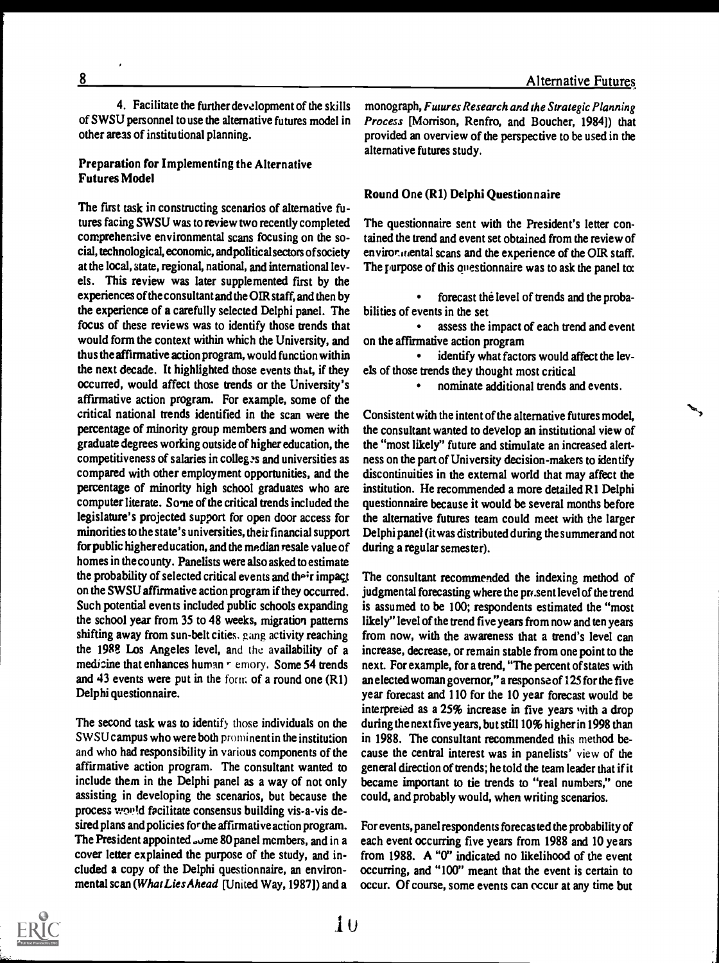4. Facilitate the further development of the skills of SWSU personnel to use the alternative futures model in other areas of institutional planning.

### Preparation for Implementing the Alternative Futures Model

The first task in constructing scenarios of alternative futures facing SWSU was to review two recently completed comprehensive environmental scans focusing on the social, technological, economic, andpolitical sectors of society at the local, state, regional, national, and international levels. This review was later supplemented first by the experiences of the consultant and the OIR staff, and then by the experience of a carefully selected Delphi panel. The focus of these reviews was to identify those trends that would form the context within which the University, and thus the affirmative action program, would function within the next decade. It highlighted those events that, if they occurred, would affect those trends or the University's affirmative action program. For example, some of the critical national trends identified in the scan were the percentage of minority group members and women with graduate degrees working outside of higher education, the competitiveness of salaries in colleges and universities as compared with other employment opportunities, and the percentage of minority high school graduates who are computer literate. Some of the critical trends included the legislature's projected support for open door access for minorities to the state's universities, their financial support for public higher education, and the median resale value of homes in the county. Panelists were also asked to estimate the probability of selected critical events and their impact on the SWSU affirmative action program if they occurred. Such potential events included public schools expanding the school year from 35 to 48 weeks, migration patterns shifting away from sun-belt cities. gang activity reaching the 19R8 Los Angeles level, and the availability of a medicine that enhances human  $r$  emory. Some 54 trends and  $43$  events were put in the form of a round one  $(R1)$ Delphi questionnaire.

The second task was to identify those individuals on the SW SU campus who were both prominent in the institution and who had responsibility in various components of the affirmative action program. The consultant wanted to include them in the Delphi panel as a way of not only assisting in developing the scenarios, but because the process would facilitate consensus building vis-a-vis desired plans and policies for the affirmative action program. The President appointed ...me 80 panel members, and in a cover letter explained the purpose of the study, and included a copy of the Delphi questionnaire, an environmental scan (What Lies Ahead [United Way, 1987]) and a monograph, Futures Research and the Strategic Planning Process [Morrison, Renfro, and Boucher, 1984)) that provided an overview of the perspective to be used in the alternative futures study.

### Round One (R1) Delphi Questionnaire

The questionnaire sent with the President's letter contained the trend and event set obtained from the review of enviror mental scans and the experience of the OIR staff. The purpose of this questionnaire was to ask the panel to:

forecast the level of trends and the proba- $\bullet$ bilities of events in the set

assess the impact of each trend and event on the affirmative action program

identify what factors would affect the levels of those trends they thought most critical

nominate additional trends and events.

Consistent with the intent of the alternative futures model, the consultant wanted to develop an institutional view of the "most likely" future and stimulate an increased alertness on the part of University decision-makers to identify discontinuities in the external world that may affect the institution. He recommended a more detailed R1 Delphi questionnaire because it would be several months before the alternative futures team could meet with the larger Delphi panel (it was distributed during the summer and not during a regular semester).

The consultant recommended the indexing method of judgmental forecasting where the present level of the trend is assumed to be 100; respondents estimated the "most likely" level of the trend five years from now and ten years from now, with the awareness that a trend's level can increase, decrease, or remain stable from one point to the next. For example, for a trend, "The percent of states with an elected woman governor," a response of 125 for the five year forecast and 110 for the 10 year forecast would be interpreted as a 25% increase in five years with a drop during the next five years, but still 10% higher in 1998 than in 1988. The consultant recommended this method because the central interest was in panelists' view of the general direction of trends; he told the team leader that if it became important to tie trends to "real numbers," one could, and probably would, when writing scenarios.

For events, panel respondents forecasted the probability of each event occurring five years from 1988 and 10 years from 1988. A "0" indicated no likelihood of the event occurring, and "100" meant that the event is certain to occur. Of course, some events can occur at any time but

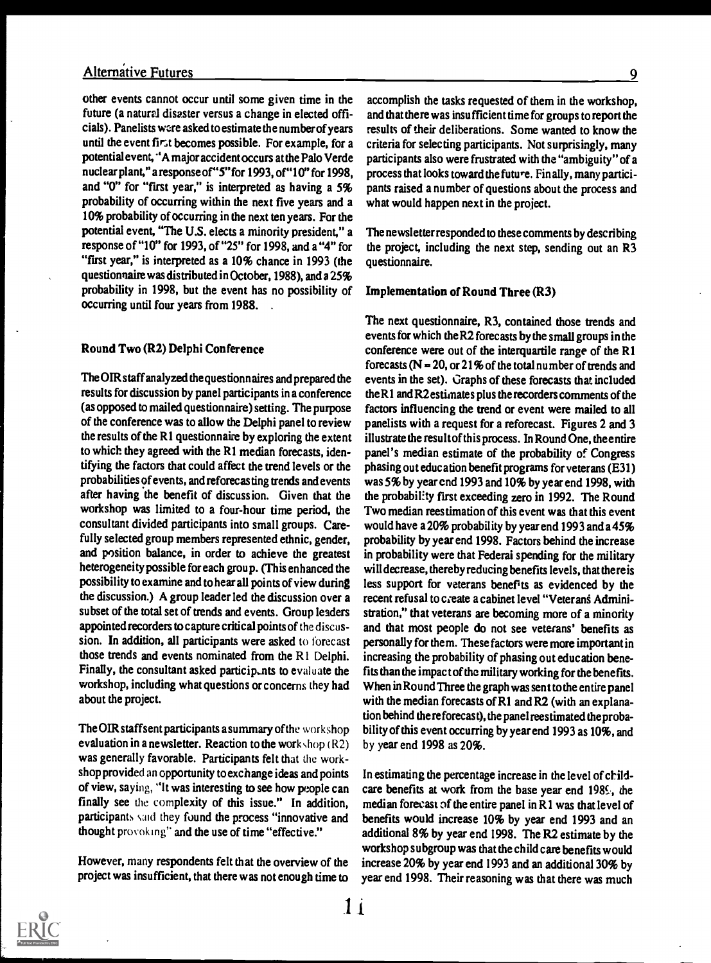other events cannot occur until some given time in the future (a natural disaster versus a change in elected officials). Panelists were asked to estimate the number of years until the event first becomes possible. For example, for a potential event, "A major accident occurs at the Palo Verde nuclear plant," a response of"5" for 1993, of"10" for 1998, and "0" for "first year," is interpreted as having a 5% probability of occurring within the next five years and a 10% probability of occurring in the next ten years. For the potential event, "The U.S. elects a minority president," a response of "10" for 1993, of "25" for 1998, and a "4" for "first year," is interpreted as a 10% chance in 1993 (the questionnaire was distributed in October, 1988), and a 25% probability in 1998, but the event has no possibility of occurring until four years from 1988. .

### Round Two (R2) Delphi Conference

The OIR staff analyzed the questionnaires and prepared the results for discussion by panel participants in a conference (as opposed to mailed questionnaire) setting. The purpose of the conference was to allow the Delphi panel to review the results of the R1 questionnaire by exploring the extent to which they agreed with the RI median forecasts, identifying the factors that could affect the trend levels or the probabilities of events, and reforec as ting trends and events after having the benefit of discussion. Given that the workshop was limited to a four-hour time period, the consultant divided participants into small groups. Carefully selected group members represented ethnic, gender, and position balance, in order to achieve the greatest heterogeneity possible for each group. (This enhanced the possibility to examine and to hear all points of view during the discussion.) A group leader led the discussion over a subset of the total set of trends and events. Group leaders appointed recorders to capture critical points of the discussion. In addition, all participants were asked to forecast those trends and events nominated from the R1 Delphi. Finally, the consultant asked participants to evaluate the workshop, including what questions or concerns they had about the project.

The OIR staffsent participants a summary of the workshop evaluation in a newsletter. Reaction to the workshop  $(R2)$ was generally favorable. Participants felt that the workshop provided an opportunity to exchange ideas and points of view, saying, "It was interesting to see how people can finally see the complexity of this issue." In addition, participants said they found the process "innovative and thought provoking" and the use of time "effective."

However, many respondents felt that the overview of the project was insufficient, that there was not enough time to

accomplish the tasks requested of them in the workshop, and that there was insufficient time for groups to report the results of their deliberations. Some wanted to know the criteria for selecting participants. Not surprisingly, many participants also were frustrated with the "ambiguity" of a process that looks toward the future. Finally, many participants raised a number of questions about the process and what would happen next in the project.

The newsletter responded to these comments by describing the project, including the next step, sending out an R3 questionnaire.

### Implementation of Round Three (R3)

The next questionnaire, R3, contained those trends and events for which the R2 forecasts by the small groups in the conference were out of the interquartile range of the R1 forecasts ( $N = 20$ , or 21% of the total number of trends and events in the set). Graphs of these forecasts that included the R1 and R2 estimates plus the recorders comments of the factors influencing the trend or event were mailed to all panelists with a request for a reforecast. Figures 2 and 3 illustrate the result of this process. In Round One, the e ntire panel's median estimate of the probability of Congress phasing out education benefit programs for veterans (E31) was 5% by year end 1993 and 10% by year end 1998, with the probability first exceeding zero in 1992. The Round Two median reestimation of this event was that this event would have a 20% probability by year end 1993 and a 45% probability by year end 1998. Factors behind the increase in probability were that Federal spending for the military will decrease, thereby reducing benefits levels, that there is less support for veterans benefits as evidenced by the recent refusal to create a cabinet level "Veterans Administration," that veterans are becoming more of a minority and that most people do not see veterans' benefits as personally for them. These factors were more important in increasing the probability of phasing out education benefits than the impact of the military working for the benefits. When in Round Three the graph was sent to the entire panel with the median forecasts of R1 and R2 (with an explanation behind the reforecast), the panel reestimated the probability of this event occurring by year end 1993 as 10%, and by year end 1998 as 20%.

In estimating the percentage increase in the level of childcare benefits at work from the base year end 1989, the median forecast of the entire panel in R1 was that level of benefits would increase 10% by year end 1993 and an additional 8% by year end 1998. The R2 estimate by the workshop subgroup was that the child care benefits would increase 20% by year end 1993 and an additional 30% by year end 1998. Their reasoning was that there was much

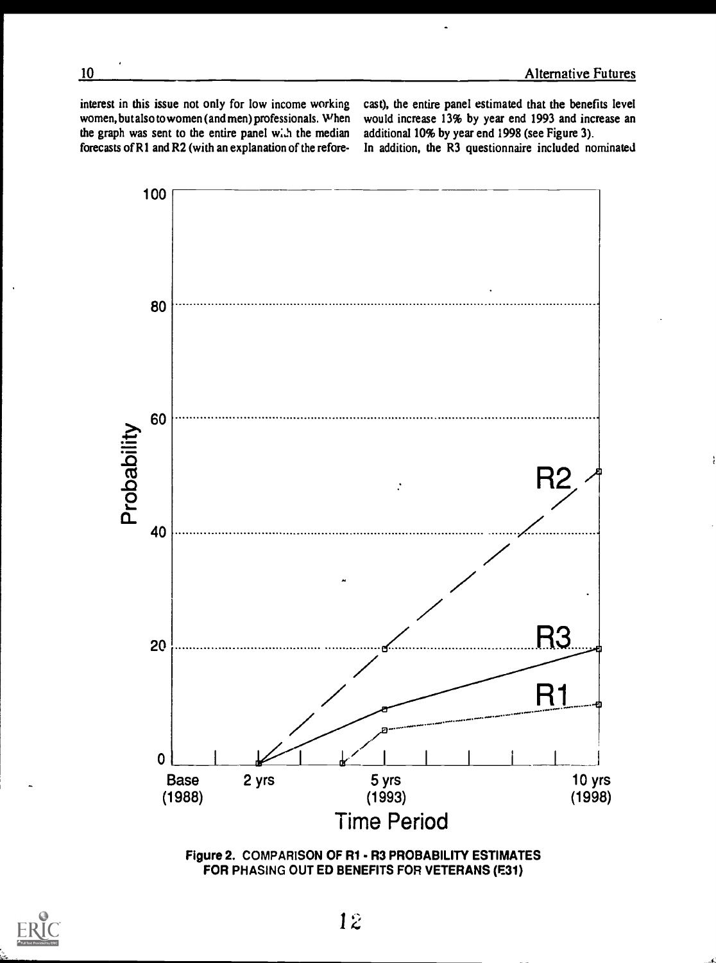interest in this issue not only for low income working women, but also to women (and men) professionals. When the graph was sent to the entire panel with the median forecasts of R1 and R2 (with an explanation of the reforecast), the entire panel estimated that the benefits level would increase 13% by year end 1993 and increase an additional 10% by year end 1998 (see Figure 3). In addition, the R3 questionnaire included nominated





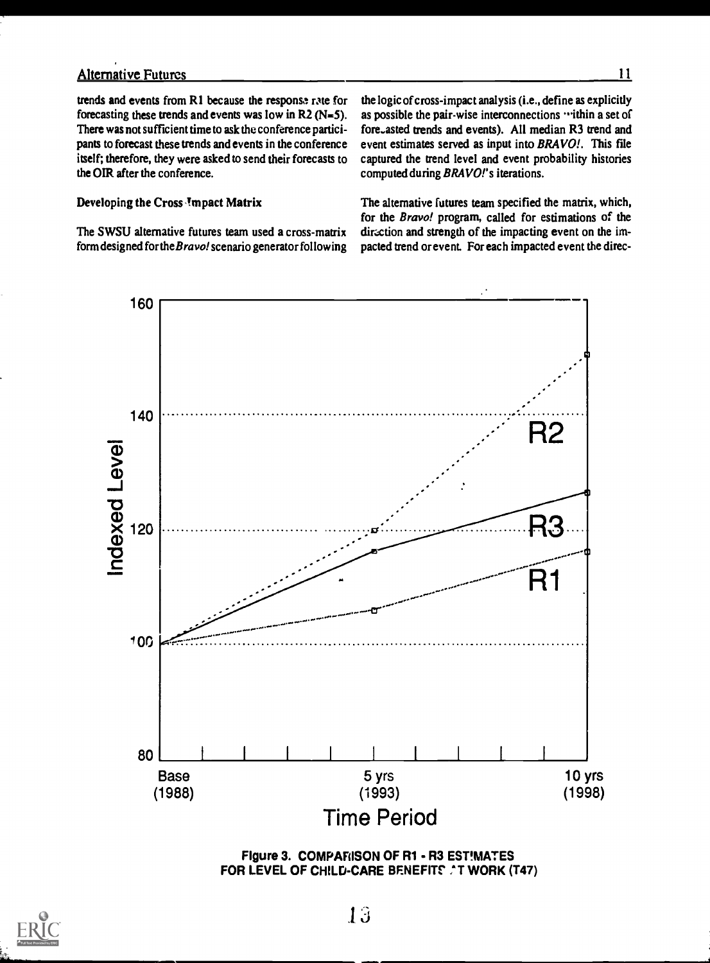## Alternative Futures <sup>11</sup>

trends and events from RI because the response rate for forecasting these trends and events was low in R2 ( $N=5$ ). There was not sufficient time to ask the conference participants to forecast these trends and events in the conference itself; therefore, they were asked to send their forecasts to the OIR after the conference.

## Developing the Cross Impact Matrix

The SWSU alternative futures team used a cross-matrix form designed for the Bravo! scenario generator following the logic of cross-impact analysis (i.e., define as explicitly as possible the pair-wise interconnections  $\nu$  ithin a set of fore-asted trends and events). All median R3 trend and event estimates served as input into BRAVO!. This file captured the trend level and event probability histories computed during BRAVO!'s iterations.

The alternative futures team specified the matrix, which, for the Bravo! program, called for estimations of the diraction and strength of the impacting event on the impacted trend or event. For each impacted event the direc-





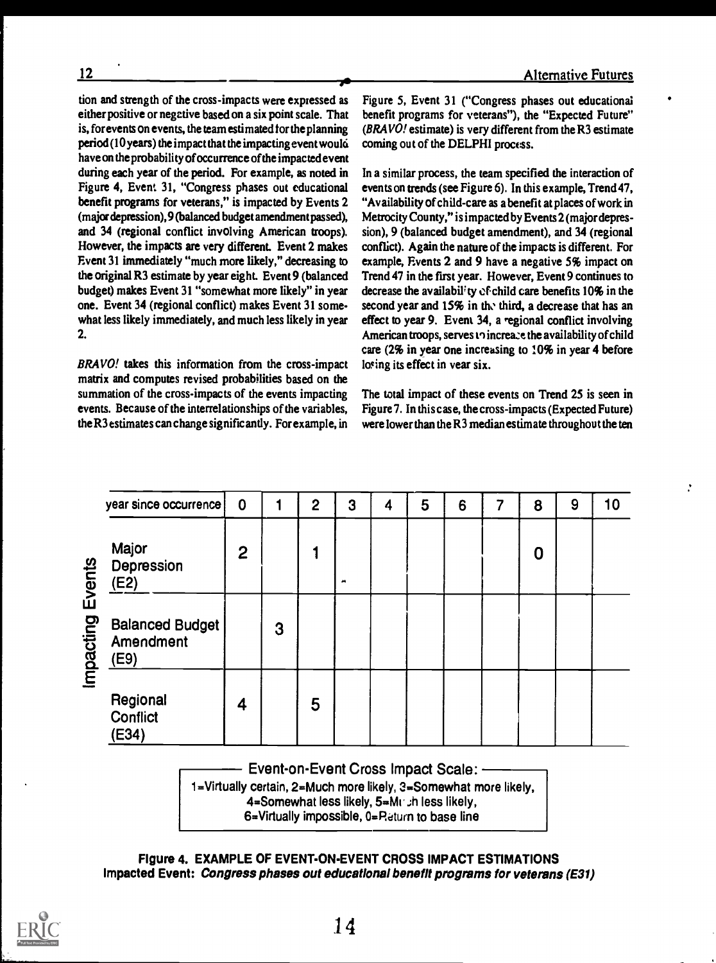tion and strength of the cross-impacts were expressed as either positive or negative based on a six point scale. That is, forevents on events, the team estimated tor the planning period (10 years) the impact that the impacting event would have on the probability of occurrence of the impacted event during each year of the period. For example, as noted in Figure 4, Event 31, "Congress phases out educational benefit programs for veterans," is impacted by Events 2 (major depression), 9 (balanced budget amendment passed), and 34 (regional conflict involving American troops). However, the impacts are very different. Event 2 makes Event 31 immediately "much more likely," decreasing to the original R3 estimate by year eight. Event 9 (balanced budget) makes Event 31 "somewhat more likely" in year one. Event 34 (regional conflict) makes Event 31 somewhat less likely immediately, and much less likely in year 2.

BRAVO! takes this information from the cross-impact matrix and computes revised probabilities based on the summation of the cross-impacts of the events impacting events. Because of the interrelationships of the variables, the R3 estimates can change significantly. For example, in

Figure 5, Event 31 ("Congress phases out educationa; benefit programs for veterans"), the "Expected Future"  $(BRAVO!$  estimate) is very different from the R3 estimate coming out of the DELPHI process.

In a similar process, the team specified the interaction of events on trends (see Figure 6). In this example, Trend 47, "Availability of child-care as a benefit at places of work in Metrocity County," is impacted by Events 2 (major depres sion), 9 (balanced budget amendment), and 34 (regional conflict). Again the nature of the impacts is different. For example, Events 2 and 9 have a negative 5% impact on Trend 47 in the first year. However, Event 9 continues to decrease the availabil<sup>ty</sup> of child care benefits 10% in the second year and  $15\%$  in the third, a decrease that has an effect to year 9. Event 34, a regional conflict involving American troops, serves to increase the availability of child care (2% in year one increasing to 10% in year 4 before losing its effect in vear six.

The total impact of these events on Trend 25 is seen in Figure 7. In this case, the cross-impacts (Expected Future) were lower than the R3 median estimate throughout the ten

| year since occurrence                                   | $\mathbf 0$    |   | $\overline{2}$ | 3                        | 4 | 5 | 6 | 7 | 8 | 9 | 10 |
|---------------------------------------------------------|----------------|---|----------------|--------------------------|---|---|---|---|---|---|----|
| Major<br>vents<br>Depression<br>(E2)                    | $\overline{2}$ |   |                | $\overline{\phantom{a}}$ |   |   |   |   | 0 |   |    |
| Impacing<br><b>Balanced Budget</b><br>Amendment<br>(E9) |                | 3 |                |                          |   |   |   |   |   |   |    |
| Regional<br>Conflict<br>(E34)                           | 4              |   | 5              |                          |   |   |   |   |   |   |    |

Event-on-Event Cross Impact Scale: 1=Virtually certain, 2=Much more likely, 3=Somewhat more likely, 4=Somewhat less likely, 5=Mt. Jh less likely,  $6=V$ irtually impossible,  $0=P$ . eturn to base line

## Figure 4. EXAMPLE OF EVENT-ON-EVENT CROSS IMPACT ESTIMATIONS Impacted Event: Congress phases out educational benefit programs for veterans (E31)

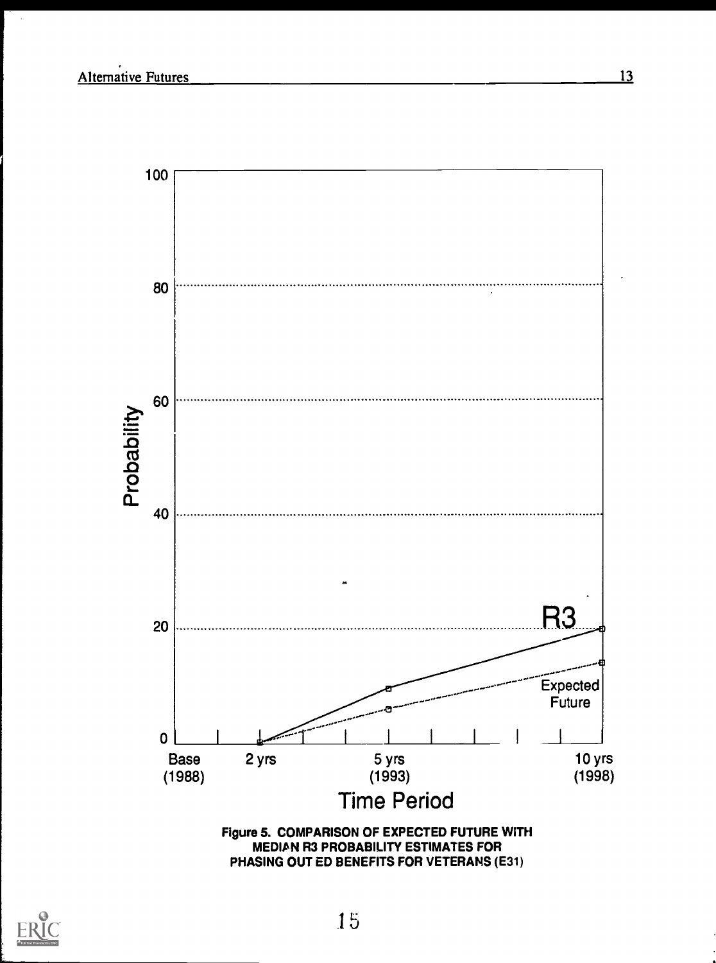

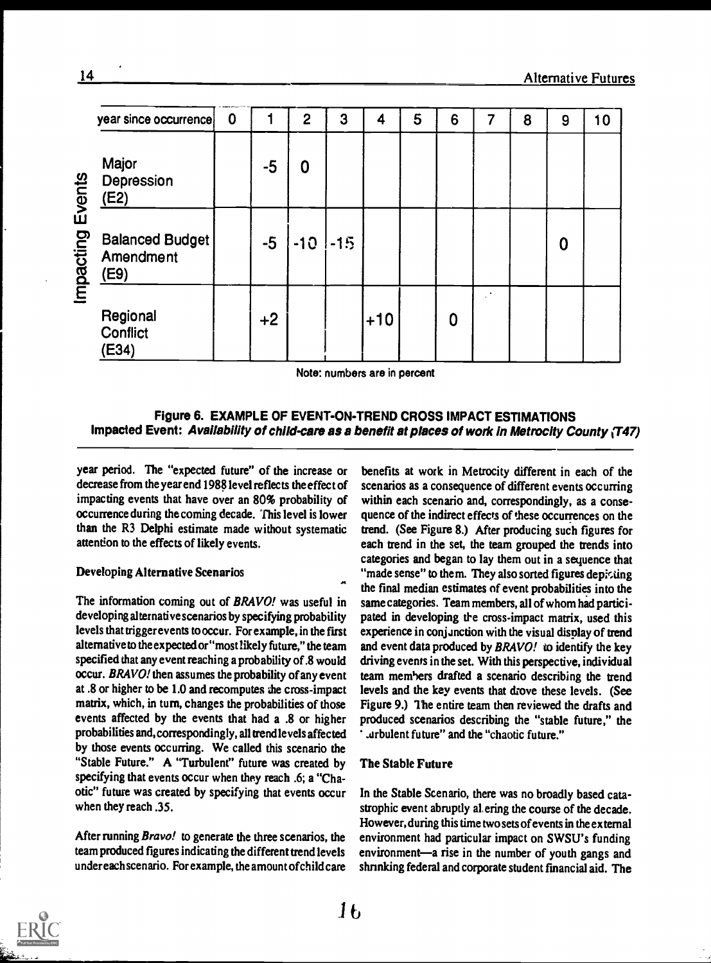| year since occurrence                                            | $\mathbf 0$ |      | $\mathbf{2}$ | 3     | 4     | 5 | 6 | 7         | 8 | 9           | 10 |
|------------------------------------------------------------------|-------------|------|--------------|-------|-------|---|---|-----------|---|-------------|----|
| Major<br>SILS<br>D<br>Depression<br>(E2)                         |             | $-5$ | 0            |       |       |   |   |           |   |             |    |
| <b>Bunopedini</b><br><b>Balanced Budget</b><br>Amendment<br>(E9) |             | $-5$ | $-10$        | $-15$ |       |   |   |           |   | $\mathbf 0$ |    |
| Regional<br>Conflict<br>(E34)                                    |             | $+2$ |              |       | $+10$ |   | 0 | $\bullet$ |   |             |    |

Note: numbers are in percent

Figure 6. EXAMPLE OF EVENT-ON-TREND CROSS IMPACT ESTIMATIONS Impacted Event: Availability of child-care as a benefit at places of work in Metrocity County 1747)

year period. The "expected future" of the increase or decrease from the year end 1988 level reflects the effect of impacting events that have over an 80% probability of occurrence during the coming decade. This level is lower than the R3 Delphi estimate made without systematic attention to the effects of likely events.

## Developing Alternative Scenarios

The information coming out of BRAVO! was useful in developing alternative scenarios by specifying probability levels that trigger events to occur. For example, in the first alternative to the expected or "most likely future," the team specified that any event reaching a probability of .8 would occur. BRAVO! then assumes the probability of any event at .8 or higher to be 1.0 and recomputes the cross-impact matrix, which, in turn, changes the probabilities of those events affected by the events that had a .8 or higher probabilities and, correspondingly, all trend levels affected by those events occurring. We called this scenario the "Stable Future." A "Turbulent" future was created by specifying that events occur when they reach .6; a "Chaotic" future was created by specifying that events occur when they reach .35.

After running Bravo! to generate the three scenarios, the team produced figures indicating the different trend levels under each scenario. For example, the amount of child care

benefits at work in Metrocity different in each of the scenarios as a consequence of different events occurring within each scenario and, correspondingly, as a consequence of the indirect effects of these occurrences on the trend. (See Figure 8.) After producing such figures for each trend in the set, the team grouped the trends into categories and began to lay them out in a sequence that "made sense" to them. They also sorted figures depicting the final median estimates of event probabilities into the same categories. Team members, all of whom had participated in developing the cross-impact matrix, used this experience in conjunction with the visual display of trend and event data produced by BRAVO! to identify the key driving events in the set. With this perspective, individual team members drafted a scenario describing the trend levels and the key events that drove these levels. (See Figure 9.) The entire team then reviewed the drafts and produced scenarios describing the "stable future," the arbulent future" and the "chaotic future."

## The Stable Future

In the Stable Scenario, there was no broadly based catastrophic event abruptly al, ering the course of the decade. However, during this time two sets of events in the external environment had particular impact on SWSU's funding environment-a rise in the number of youth gangs and shrinking federal and corporate student financial aid. The

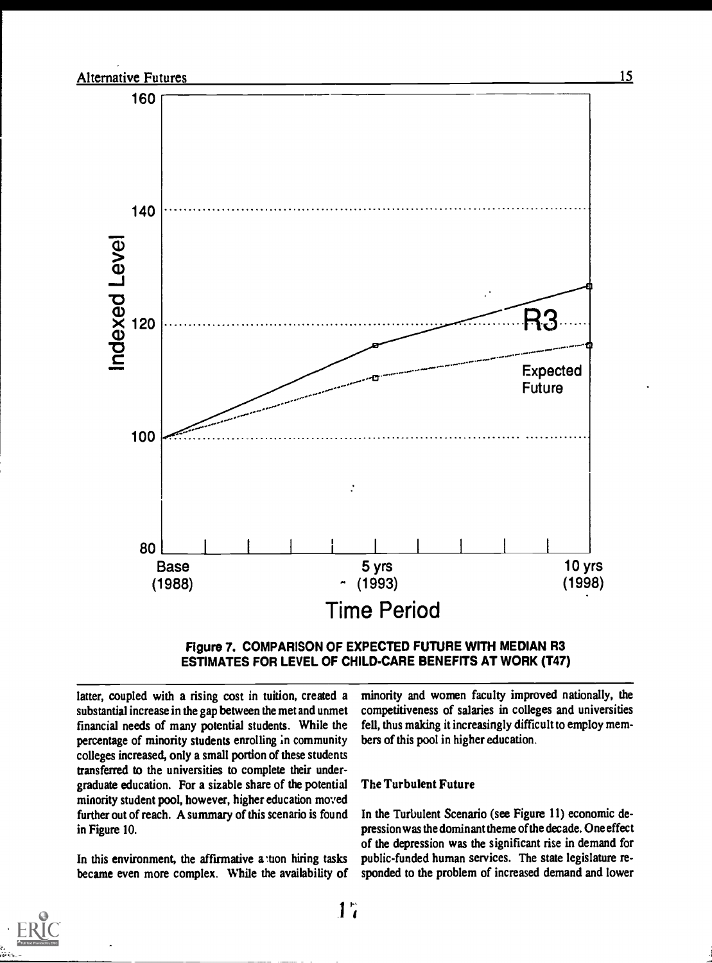

Figure 7. COMPARISON OF EXPECTED FUTURE WITH MEDIAN R3 ESTIMATES FOR LEVEL OF CHILD-CARE BENEFITS AT WORK (T47)

latter, coupled with a rising cost in tuition, created a substantial increase in the gap between the met and unmet financial needs of many potential students. While the percentage of minority students enrolling in community colleges increased, only a small portion of these students transferred to the universities to complete their undergraduate education. For a sizable share of the potential minority student pool, however, higher education moved further out of reach. A summary of this scenario is found in Figure 10.

In this environment, the affirmative  $a$  ton hiring tasks became even more complex. While the availability of minority and women faculty improved nationally, the competitiveness of salaries in colleges and universities fell, thus making it increasingly difficult to employ members of this pool in higher education.

### The Turbulent Future

In the Turbulent Scenario (see Figure 11) economic depression was the dominant theme of the decade. One effect of the depression was the significant rise in demand for public-funded human services. The state legislature responded to the problem of increased demand and lower

-7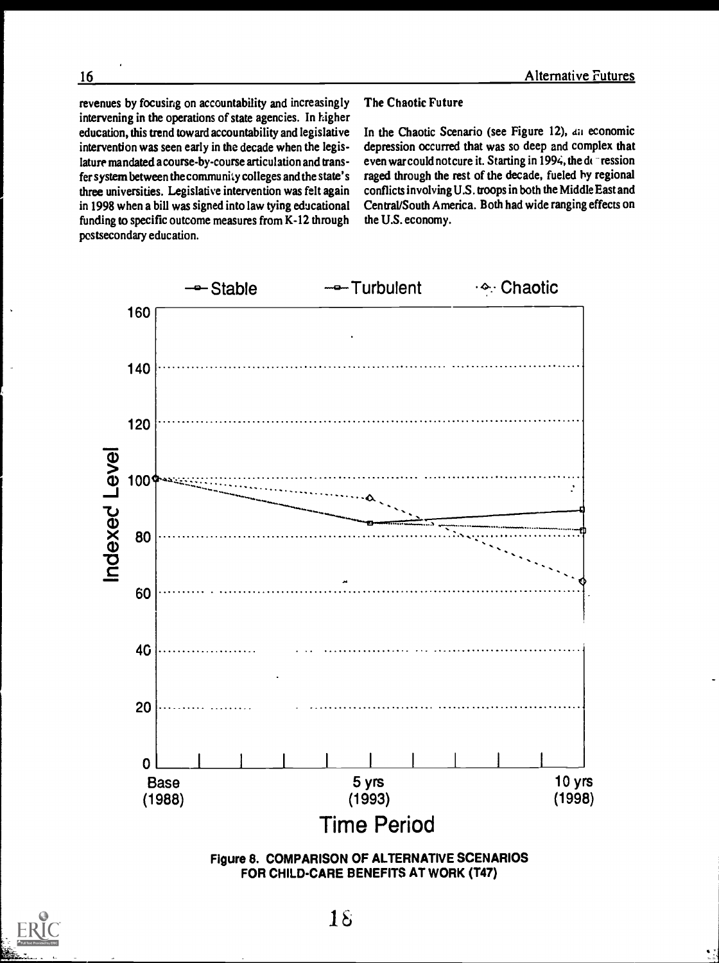revenues by focusing on accountability and increasingly intervening in the operations of state agencies. In higher education, this trend toward accountability and legislative intervention was seen early in the decade when the legislature mandated a course-by-course articulation and transfer system between the community colleges and the state's three universities. Legislative intervention was felt again in 1998 when a bill was signed into law tying educational funding to specific outcome measures from K-12 through postsecondary education.

## The Chaotic Future

In the Chaotic Scenario (see Figure 12), an economic depression occurred that was so deep and complex that even war could not cure it. Starting in 1994, the  $d\epsilon$  ression raged through the rest of the decade, fueled by regional conflicts involving U.S. troops in both the Middle East and Central/South America. Both had wide ranging effects on the U.S. economy.



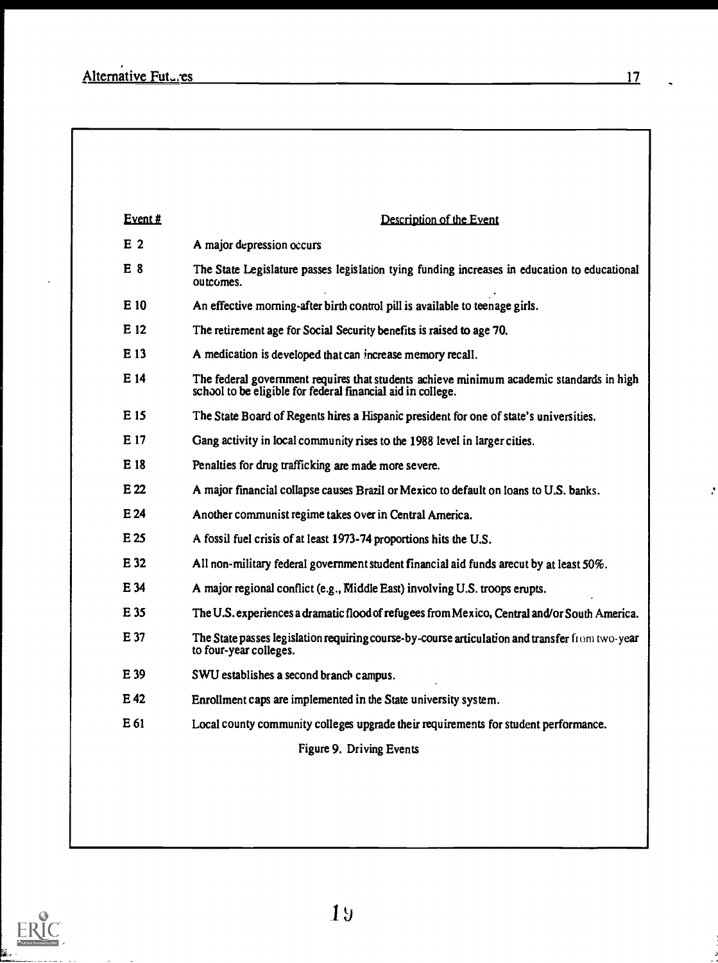| Event#         | Description of the Event                                                                                                                                |
|----------------|---------------------------------------------------------------------------------------------------------------------------------------------------------|
| E <sub>2</sub> | A major depression occurs                                                                                                                               |
| $E_8$          | The State Legislature passes legislation tying funding increases in education to educational<br>outcomes.                                               |
| E 10           | An effective morning-after birth control pill is available to teenage girls.                                                                            |
| E 12           | The retirement age for Social Security benefits is raised to age 70.                                                                                    |
| E 13           | A medication is developed that can increase memory recall.                                                                                              |
| E 14           | The federal government requires that students achieve minimum academic standards in high<br>school to be eligible for federal financial aid in college. |
| E 15           | The State Board of Regents hires a Hispanic president for one of state's universities.                                                                  |
| E 17           | Gang activity in local community rises to the 1988 level in larger cities.                                                                              |
| E 18           | Penalties for drug trafficking are made more severe.                                                                                                    |
| E 22           | A major financial collapse causes Brazil or Mexico to default on loans to U.S. banks.                                                                   |
| E 24           | Another communist regime takes over in Central America.                                                                                                 |
| E 25           | A fossil fuel crisis of at least 1973-74 proportions hits the U.S.                                                                                      |
| E 32           | All non-military federal government student financial aid funds arecut by at least 50%.                                                                 |
| E 34           | A major regional conflict (e.g., Middle East) involving U.S. troops erupts.                                                                             |
| E 35           | The U.S. experiences a dramatic flood of refugees from Mexico, Central and/or South America.                                                            |
| E 37           | The State passes legislation requiring course-by-course articulation and transfer from two-year<br>to four-year colleges.                               |
| E 39           | SWU establishes a second branch campus.                                                                                                                 |
| E 42           | Enrollment caps are implemented in the State university system.                                                                                         |
| E 61           | Local county community colleges upgrade their requirements for student performance.                                                                     |
|                | Figure 9. Driving Events                                                                                                                                |



 $\ddot{\phantom{a}}$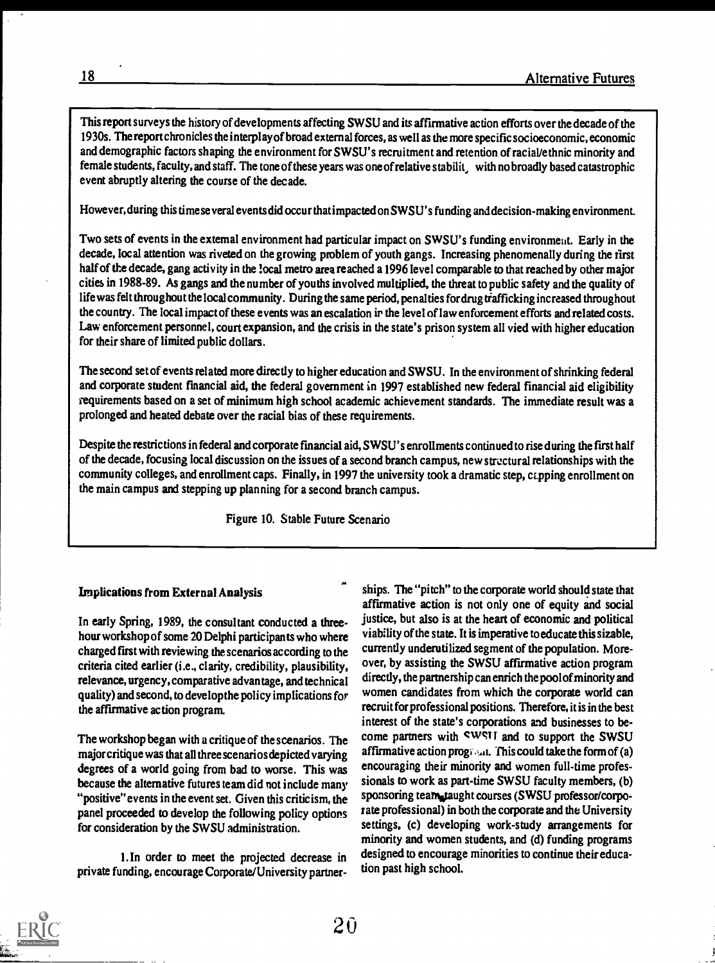This report surveys the history of developments affecting SWSU and its affirmative action efforts over the decade of the 1930s. The report chronicles the interplay of broad external forces, as well as the more specific socioeconomic, economic and demographic factors shaping the environment for SWSU's recruitment and retention of racial/ethnic minority and female students, faculty, and staff. The tone of these years was one of relative s tabilit, with no broadly based catastrophic event abruptly altering the course of the decade.

However, during this time several events did occur that impacted on SWSU's funding and decision-making environment.

Two sets of events in the external environment had particular impact on SWSU's funding environment. Early in the decade, local attention was riveted on the growing problem of youth gangs. Increasing phenomenally during the first half of the decade, gang activity in the local metro area reached a 1996 level comparable to that reached by other major cities in 1988-89. As gangs and the number of youths involved multiplied, the threat to public safety and the quality of life was felt throughout the local community. During the same period, penalties for drug trafficking increased throughout the country. The local impact of these events was an escalation in the level of law enforcement efforts and related costs. Law enforcement personnel, court expansion, and the crisis in the state's prison system all vied with higher education for their share of limited public dollars.

The second set of events related more directly to higher education and SWSU. In the environment of shrinking federal and corporate student financial aid, the federal government in 1997 established new federal financial aid eligibility requirements based on a set of minimum high school academic achievement standards. The immediate result was a prolonged and heated debate over the racial bias of these requirements.

Despite the restrictions in federal and corporate financial aid, SWSU's enrollments continued to rise during the first half of the decade, focusing local discussion on the issues of a second branch campus, new structural relationships with the community colleges, and enrollment caps. Finally, in 1997 the university took a dramatic step, capping enrollment on the main campus and stepping up planning for a second branch campus.

Figure 10. Stable Future Scenario

## Implications from External Analysis

In early Spring, 1989, the consultant conducted a threehour workshop of some 20 Delphi participants who where charged first with reviewing the scenarios according to the criteria cited earlier (i.e., clarity, credibility, plausibility, relevance, urgency, comparative advantage, and technical quality) and second, to develop the policy implications for the affirmative action program.

The workshop began with a critique of the scenarios. The major critique was that all three scenarios depicted varying degrees of a world going from bad to worse. This was because the alternative futures team did not include many "positive" events in the event set. Given this criticism, the panel proceeded to develop the following policy options for consideration by the SWSU administration.

1.1n order to meet the projected decrease in private funding, encourage Corporate/University partner-

ships. The "pitch" to the corporate world should state that affirmative action is not only one of equity and social justice, but also is at the heart of economic and political viability of the state. It is imperative to educate this sizable, currently underutilized segment of the population. Moreover, by assisting the SWSU affirmative action program directly, the partnership can enrich the pool of minori ty and women candidates from which the corporate world can recruit for professional positions. Therefore, it is in the best interest of the state's corporations and businesses to become partners with SWSII and to support the SWSU affirmative action program. This could take the form of (a) encouraging their minority and women full-time professionals to work as part-time SWSU faculty members, (b) sponsoring team-taught courses (SWSU professor/corporate professional) in both the corporate and the University settings, (c) developing work-study arrangements for minority and women students, and (d) funding programs designed to encourage minorities to continue their education past high school.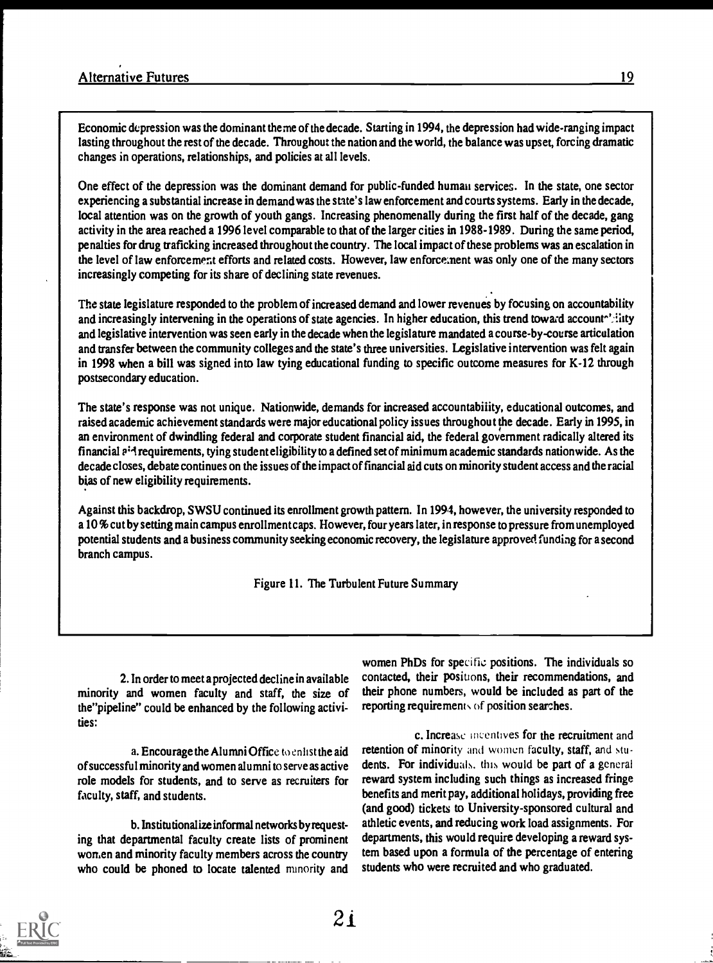Economic depression was the dominant theme of the decade. Starting in 1994, the depression had wide-ranging impact lasting throughout the rest of the decade. Throughout the nation and the world, the balance was upset, forcing dramatic changes in operations, relationships, and policies at all levels.

One effect of the depression was the dominant demand for public-funded human services. In the state, one sector experiencing a substantial increase in demand was the state's law enforcement and courts systems. Early in the decade, local attention was on the growth of youth gangs. Increasing phenomenally during the first half of the decade, gang activity in the area reached a 1996 level comparable to that of the larger cities in 1988-1989. During the same period, penalties for drug traficking increased throughout the country. The local impact of these problems was an escalation in the level of law enforcement efforts and related costs. However, law enforcement was only one of the many sectors increasingly competing for its share of declining state revenues.

The state legislature responded to the problem of increased demand and lower revenues by focusing on accountability and increasingly intervening in the operations of state agencies. In higher education, this trend toward accountobility and legislative intervention was seen early in the decade when the legislature mandated a course-by-course articulation and transfer between the community colleges and the state's three universities. Legislative intervention was felt again in 1998 when a bill was signed into law tying educational funding to specific outcome measures for K-12 through postsecondary education.

The state's response was not unique. Nationwide, demands for increased accountability, educational outcomes, and raised academic achievement standards were major educational policy issues throughout the decade. Early in 1995, in an environment of dwindling federal and corporate student financial aid, the federal government radically altered its financial a<sup>1</sup> requirements, tying student eligibility to a defined set of minimum academic standards nationwide. As the decade closes, debate continues on the issues of the impact of financial aid cuts on minority student access and the racial bias of new eligibility requirements.

Against this backdrop, SWSU continued its enrollment growth pattern. In 1994, however, the university responded to a 10% cut by setting main campus enrollment caps. However, four years later, in response to pressure from unemployed potential students and a business community seeking economic recovery, the legislature approved funding for a second branch campus.

Figure 11. The Turbulent Future Summary

2. In order to meet a projected decline in available minority and women faculty and staff, the size of the"pipeline" could be enhanced by the following activities:

a. Encourage the Alumni Office to enlist the aid of successful minority and women alumni to serve as active role models for students, and to serve as recruiters for faculty, staff, and students.

b. Institutionalize informal networks by requesting that departmental faculty create lists of prominent won,en and minority faculty members across the country who could be phoned to locate talented minority and

women PhDs for specific positions. The individuals so contacted, their positions, their recommendations, and their phone numbers, would be included as part of the reporting requirements of position searches.

c. Increase incentives for the recruitment and retention of minority and women faculty, staff, and students. For individuals, this would be part of a general reward system including such things as increased fringe benefits and merit pay, additional holidays, providing free (and good) tickets to University-sponsored cultural and athletic events, and reducing work load assignments. For departments, this would require developing a reward system based upon a formula of the percentage of entering students who were recruited and who graduated.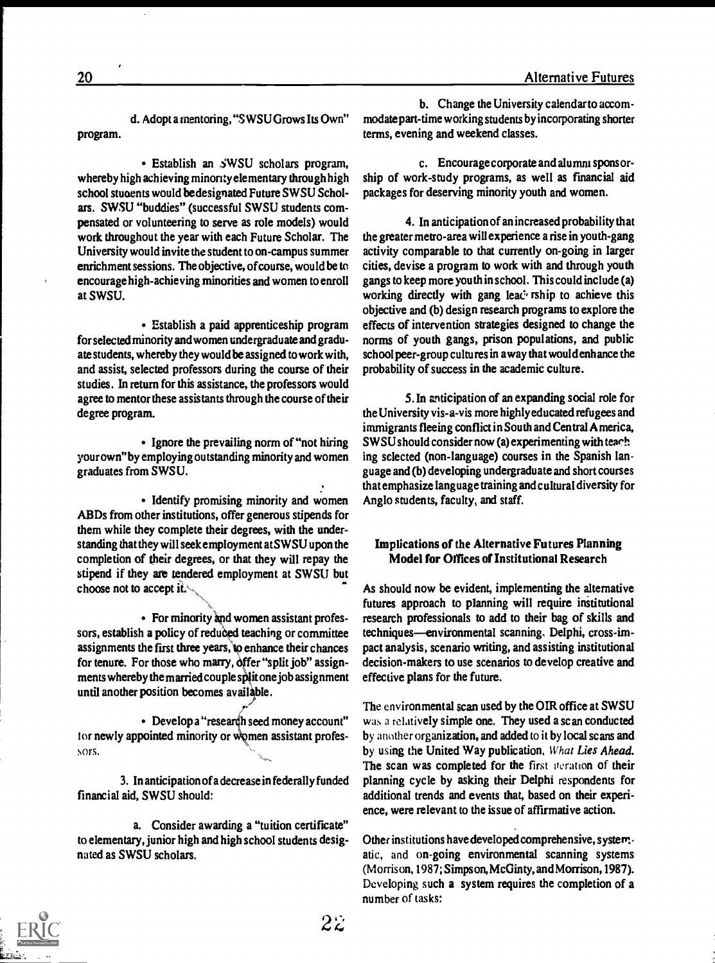d. Adopt a mentoring,"SWSU Grows Its Own" program.

Establish an SWSU scholars program, whereby high achieving minority elementary through high school students would be designated Future SWSU Scholars. SWSU "buddies" (successful SWSU students compensated or volunteering to serve as role models) would work throughout the year with each Future Scholar. The University would invite the student to on-campus summer enrichment sessions. The objective, of course, would be to encourage high-achieving minorities and women to enroll at SWSU.

Establish a paid apprenticeship program for selected minority and women undergraduate and graduate students, whereby they would be assigned to work with, and assist, selected professors during the course of their studies. In return for this assistance, the professors would agree to mentor these assistants through the course of their degree program.

• Ignore the prevailing norm of "not hiring" your own" by employing outstanding minority and women graduates from SWSU.

• Identify promising minority and women ABDs from other institutions, offer generous stipends for them while they complete their degrees, with the understanding that they will seek employment atSWSU upon the completion of their degrees, or that they will repay the stipend if they are tendered employment at SWSU but choose not to accept it. $\sim$ 

• For minority and women assistant professors, establish a policy of reduced teaching or committee assignments the first three years, to enhance their chances for tenure. For those who marry, offer "split job" assignments whereby the married couple split one job assignment until another position becomes available.

• Develop a "researdh seed money account" for newly appointed minority or women assistant professors.

3. In anticipation of a decrease in federally funded financial aid, SWSU should:

a. Consider awarding a "tuition certificate" to elementary, junior high and high school students designated as SWSU scholars.

b. Change the University calendar to accommodate part-time working students by incorporating shorter terms, evening and weekend classes.

c. Encourage corporate and alumni spons orship of work-study programs, as well as financial aid packages for deserving minority youth and women.

4. In anticipation of an increased probability that the greater metro-area will experience a rise in youth-gang activity comparable to that currently on-going in larger cities, devise a program to work with and through youth gangs to keep more youth in school. This could include (a) working directly with gang lead rship to achieve this objective and (b) design research programs to explore the effects of intervention strategies designed to change the norms of youth gangs, prison populations, and public school peer-group cultures in away that would enhance the probability of success in the academic culture.

5. In anticipation of an expanding social role for the University vis-a-vis more highly educated refugees and immigrants fleeing conflict in South and Central America, SWSU should consider now (a) experimenting with teach ing selected (non-language) courses in the Spanish language and (b) developing undergraduate and short courses that emphasize language training and cultural diversity for Anglo students, faculty, and staff.

## Implications of the Alternative Futures Planning Model for Offices of Institutional Research

As should now be evident, implementing the alternative futures approach to planning will require institutional research professionals to add to their bag of skills and techniques—environmental scanning. Delphi, cross-impact analysis, scenario writing, and assisting institutional decision-makers to use scenarios to develop creative and effective plans for the future.

The environmental scan used by the OIR office at SWSU was a relatively simple one. They used a scan conducted by another organization, and added to it by local scans and by using the United Way publication, What Lies Ahead. The scan was completed for the first iteration of their planning cycle by asking their Delphi respondents for additional trends and events that, based on their experience, were relevant to the issue of affirmative action.

Other institutions have developed comprehensive, system. atic, and on-going environmental scanning systems (Morrison, 1987; Simpson, McGinty, and Morrison, 1987). Developing such a system requires the completion of a number of tasks:

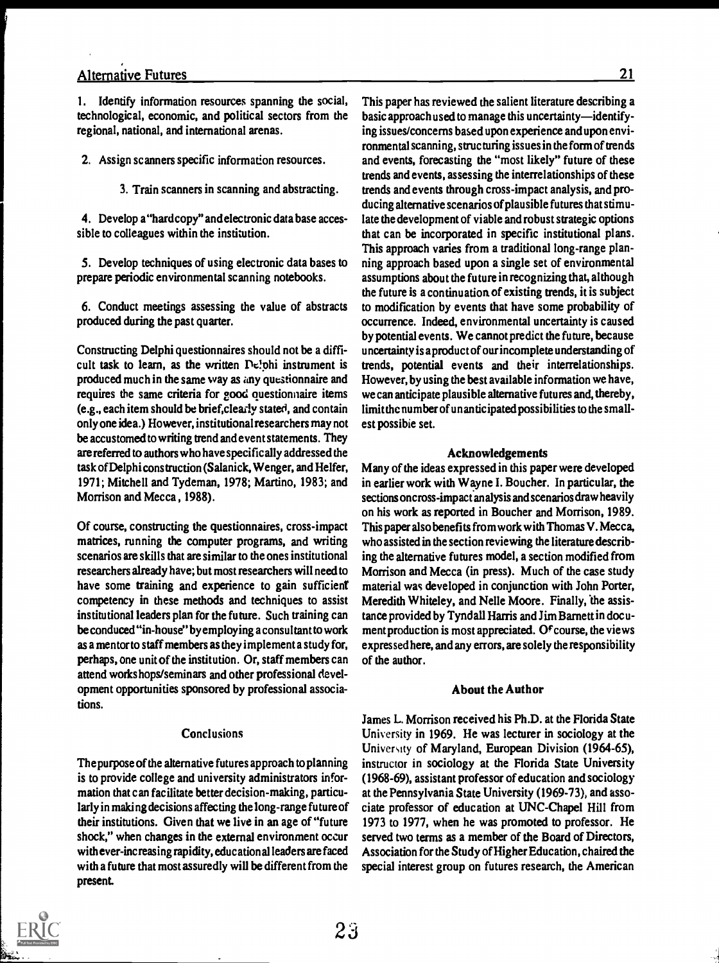## Alternative Futures 21

1. Identify information resources spanning the social, technological, economic, and political sectors from the regional, national, and international arenas.

2. Assign scanners specific information resources.

3. Train scanners in scanning and abstracting.

4. Develop a"hard copy" and electronic data base accessible to colleagues within the institution.

5. Develop techniques of using electronic data bases to prepare periodic environmental scanning notebooks.

6. Conduct meetings assessing the value of abstracts produced during the past quarter.

Constructing Delphi questionnaires should not be a difficult task to learn, as the written De!phi instrument is produced much in the same way as any questionnaire and requires the same criteria for good questionnaire items  $(e.g., each item should be briefly stated, and contain$ only one idea.) However, institutional researchers may not be accustomed to writing trend and event statements. They are referred to authors who have specifically addressed the task of Delphi cons truction (Salanick, Wenger, and Helfer, 1971; Mitchell and Tydeman, 1978; Martino, 1983; and Morrison and Mecca , 1988).

Of course, constructing the questionnaires, cross-impact matrices, running the computer programs, and writing scenarios are skills that are similar to the ones institutional researchers already have; but most researchers will need to have some training and experience to gain sufficient competency in these methods and techniques to assist institutional leaders plan for the future. Such training can be conduced "in-house" by employing a consultant to work as a mentor to staff members as they implement a study for, perhaps, one unit of the institution. Or, staff members can attend workshops/seminars and other professional development opportunities sponsored by professional associations.

### **Conclusions**

The purpose of the alternative futures approach to planning is to provide college and university administrators information that can facilitate better decision-making, particularly in making decisions affecting the long-range future of their institutions. Given that we live in an age of "future shock," when changes in the external environment occur with ever-increasing rapidity, educational leaders are faced with a future that most assuredly will be different from the present.



### Acknowledgements

Many of the ideas expressed in this paper were developed in earlier work with Wayne I. Boucher. In particular, the sections on cross-impact analysis and scenarios draw heavily on his work as reported in Boucher and Morrison, 1989. This paper also benefits from work with Thomas V. Mecca, who assisted in the section reviewing the literature describing the alternative futures model, a section modified from Morrison and Mecca (in press). Much of the case study material was developed in conjunction with John Porter, Meredith Whiteley, and Nelle Moore. Finally, the assistance provided by Tyndall Harris and Jim Bamett in document production is most appreciated. Of course, the views expressed here, and any errors, are solely the responsibility of the author.

### About the Author

James L. Morrison received his Ph.D. at the Florida State University in 1969. He was lecturer in sociology at the University of Maryland, European Division (1964-65), instructor in sociology at the Florida State University (1968-69), assistant professor of education and sociology at the Pennsylvania State University (1969-73), and associate professor of education at UNC-Chapel Hill from 1973 to 1977, when he was promoted to professor. He served two terms as a member of the Board of Directors, Association for the Study of Higher Education, chaired the special interest group on futures research, the American

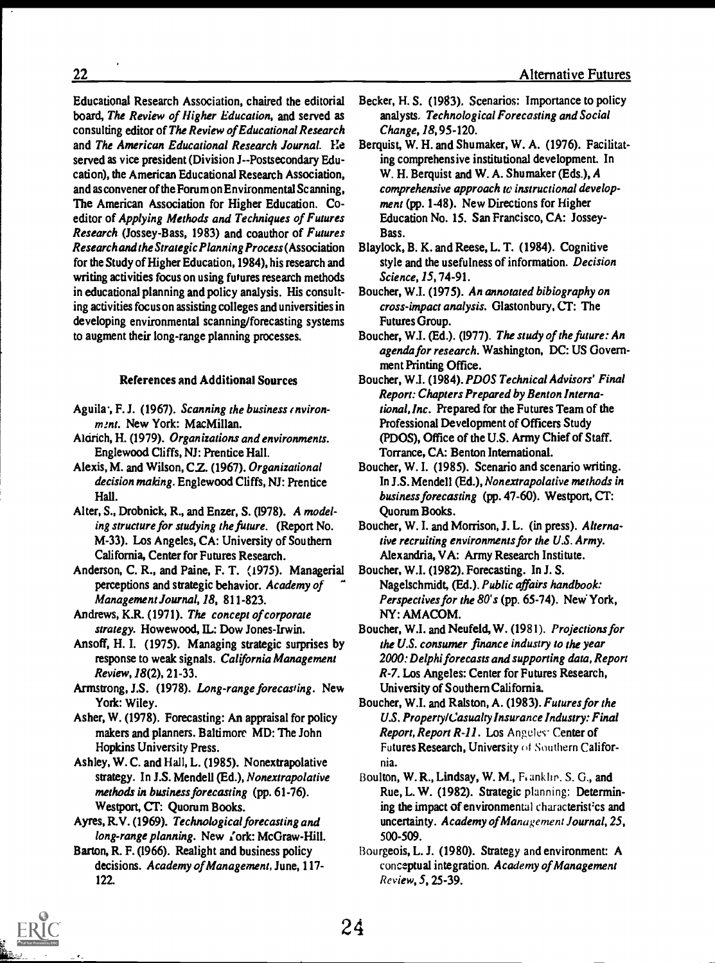Educational Research Association, chaired the editorial board, The Review of Higher Education, and served as consulting editor of The Review of Educational Research and The American Educational Research Journal. He served as vice president (Division J--Postsecondary Education), the American Educational Research Association, and as convener of the Forum on Environmental Scanning, The American Association for Higher Education. Coeditor of Applying Methods and Techniques of Futures Research (Jossey-Bass, 1983) and coauthor of Futures Research and the Strategic Planning Process (Association for the Study of Higher Education, 1984), his research and writing activities focus on using futures research methods in educational planning and policy analysis. His consulting activities focus on assisting colleges and universities in developing environmental scanning/forecasting systems to augment their long-range planning processes.

## References and Additional Sources

- Aguila; F. J. (1967). Scanning the business environment. New York: MacMillan.
- Aldrich, H. (1979). Organizations and environments. Englewood Cliffs, NJ: Prentice Hall.
- Alexis, M. and Wilson, CZ. (1967). Organizational decision making. Englewood Cliffs, NJ: Prentice Hall.
- Alter, S., Drobnick, R., and Enzer, S. (1978). A modeling structure for studying the future. (Report No. M-33). Los Angeles, CA: University of Southern California, Center for Futures Research.
- Anderson, C. R., and Paine, F. T. (1975). Managerial perceptions and strategic behavior. Academy of Management Journal, 18, 811-823.
- Andrews, K.R. (1971). The concept of corporate strategy. Howewood, IL: Dow Jones-Irwin.
- Ansoff, H. I. (1975). Managing strategic surprises by response to weak signals. California Management Review, 18(2), 21-33.
- Armstrong, J.S. (1978). Long-range forecasting. New York: Wiley.
- Asher, W. (1978). Forecasting: An appraisal for policy makers and planners. Baltimore MD: The John Hopkins University Press.
- Ashley, W. C. and Hall, L. (1985). Nonextrapolative strategy. In J.S. Mendell (Ed.), Nonextrapolative methods in business forecasting (pp. 61-76). Westport, CT: Quorum Books.
- Ayres, R.V. (1969). Technological forecasting and long-range planning. New *fork: McGraw-Hill.*
- Barton, R. F. (1966). Realight and business policy decisions. Academy of Management, June, 117- 122.
- Becker, H. S. (1983). Scenarios: Importance to policy analysts. Technological Forecasting and Social Change, 18, 95-120.
- Berquist, W. H. and Shumaker, W. A. (1976). Facilitating comprehensive institutional development. In W. H. Berquist and W. A. Shumaker (Eds.), A comprehensive approach to instructional development (pp. 1-48). New Directions for Higher Education No. 15. San Francisco, CA: Jossey-Bass.
- Blaylock, B. K. and Reese, L. T. (1984). Cognitive style and the usefulness of information. Decision Science, 15, 74-91.
- Boucher, W.I. (1975). An annotated bibiography on cross-impact analysis. Glastonbury, CT: The Futures Group.
- Boucher, W.I. (Ed.). (1977). The study of the future: An agenda for research. Washington, DC: US Government Printing Office.
- Boucher, W.I. (1984). PDOS Technical Advisors' Final Report: Chapters Prepared by Benton International, Inc. Prepared for the Futures Team of the Professional Development of Officers Study (PDOS), Office of the U.S. Army Chief of Staff. Torrance, CA: Benton International.
- Boucher, W. I. (1985). Scenario and scenario writing. In J.S. Mendell (Ed.), Nonextrapolative methods in business forecasting (pp. 47-60). Westport, CT: Quorum Books.
- Boucher, W. I. and Morrison, J. L. (in press). Alternative recruiting environments for the U.S. Army. Alexandria, VA: Army Research Institute.
- Boucher, W.I. (1982). Forecasting. In J. S. Nagelschmidt, (Ed.). Public affairs handbook: Perspectives for the 80's (pp. 65-74). New York, NY: AMACOM.
- Boucher, W.I. and Neufeld, W. (1981). Projections for the U.S. consumer finance industry to the year 2000: Delphi forecasts and supporting data, Report R-7. Los Angeles: Center for Futures Research, University of Southern California.
- Boucher, W.I. and Ralston, A. (1983). Futures for the U.S. Property/Casualty Insurance Industry: Final Report, Report R-11. Los Angeles: Center of Futures Research, University ot Southern California.
- Boulton, W. R., Lindsay, W. M., Frankhr. S. G., and Rue, L. W. (1982). Strategic planning: Determining the impact of environmental characteristics and uncertainty. Academy of Management Journal, 25, 500-509.
- Bourgeois, L. J. (1980). Strategy and environment: A conceptual integration. Academy of Management Review, 5, 25-39.

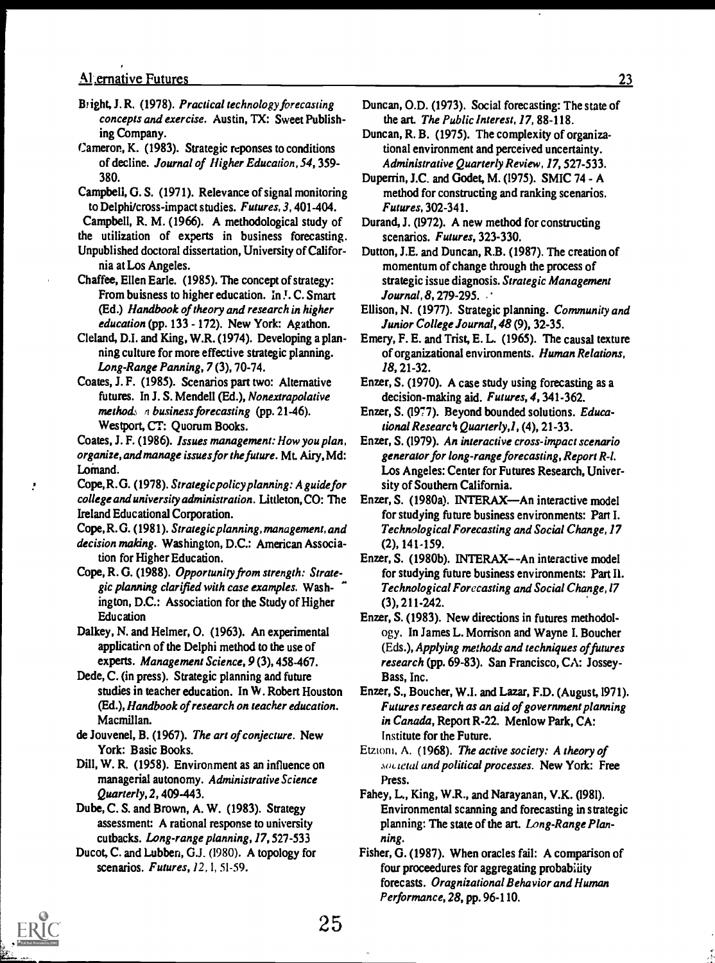- Bright, J. R. (1978). Practical technology forecasting concepts and exercise. Austin, TX: Sweet Publishing Company.
- Cameron, K. (1983). Strategic reponses to conditions of decline. Journal of Higher Education, 54, 359-380.
- Campbell, G. S. (1971). Relevance of signal monitoring to Delphi/cross-impact studies. Futures, 3, 401-404.

Campbell, R. M. (1966). A methodological study of

- the utilization of experts in business forecasting. Unpublished doctoral dissertation, University of California at Los Angeles.
- Chaffee, Ellen Earle. (1985). The concept of strategy: From buisness to higher education. In J. C. Smart (Ed.) Handbook of theory and research in higher education (pp. 133 - 172). New York: Agathon.
- Cleland, D.I. and King, W.R. (1974). Developing a planning culture for more effective strategic planning. Long-Range Panning, 7 (3), 70-74.
- Coates, J. F. (1985). Scenarios part two: Alternative futures. In J. S. Mendell (Ed.), Nonextrapolative methods a business forecasting (pp. 21-46). Westport, CT: Quorum Books.
- Coates, J. F. (1986). Issues management: How you plan, organize, and manage issues for the future. Mt. Airy, Md: Lomand.
- Cope,R. G. (1978). Strategic policy planning: A guidefor college and university administration. Littleton, CO: The Ireland Educational Corporation.
- Cope, R. G. (1981). Strategic planning, management, and decision making. Washington, D.C.: American Associa-
- tion for Higher Education. Cope, R. G. (1988). Opportunity from strength: Strate-
- gic planning clarified with case examples. Washington, D.C.: Association for the Study of Higher Education
- Dalkey, N. and Helmer, 0. (1963). An experimental applicatirn of the Delphi method to the use of experts. Management Science, 9 (3), 458-467.
- Dede, C. (in press). Strategic planning and future studies in teacher education. In W. Robert Houston (Ed.), Handbook of research on teacher education. Macmillan.
- de Jouvenel, B. (1967). The art of conjecture. New York: Basic Books.
- Dill, W. R. (1958). Environment as an influence on managerial autonomy. Administrative Science Quarterly, 2, 409-443.
- Dube, C. S. and Brown, A. W. (1983). Strategy assessment: A rational response to university cutbacks. Long-range planning, 17, 527-533
- Ducot, C. and Lubben, G.J. (1980). A topology for scenarios. Futures, 12, 1, 51-59.
- Duncan, O.D. (1973). Social forecasting: The state of the art. The Public Interest, 17, 88-118.
- Duncan, R. B. (1975). The complexity of organizational environment and perceived uncertainty. Administrative Quarterly Review, 17, 527-533.
- Duperrin, J.C. and Godet, M. (1975). SMIC 74 A method for constructing and ranking scenarios. Futures, 302-341.
- Durand, J. (1972). A new method for constructing scenarios. Futures, 323-330.
- Dutton, J.E. and Duncan, R.B. (1987). The creation of momentum of change through the process of strategic issue diagnosis. Strategic Management Journal, 8, 279-295.
- Ellison, N. (1977). Strategic planning. Community and Junior College Journal, 48 (9), 32-35.
- Emery, F. E. and Trist, E. L. (1965). The causal texture of organizational environments. Human Relations, 18, 21-32.
- Enzer, S. (1970). A case study using forecasting as a decision-making aid. Futures, 4, 341-362.
- Enzer, S. (1977). Beyond bounded solutions. Educational Research Quarterly,1, (4), 21-33.
- Enzer, S. (1979). An interactive cross-impact scenario generator for long-range forecasting, Report R-1. Los Angeles: Center for Futures Research, University of Southern California.
- Enzer, S. (1980a). INTERAX-An interactive model for studying future business environments: Part I. Technological Forecasting and Social Change, 17 (2), 141-159.
- Enzer, S. (1980b). INTERAX--An interactive model for studying future business environments: Part Il. Technological Forecasting and Social Change,17 (3), 211-242.
- Enzer, S. (1983). New directions in futures methodology. In James L. Morrison and Wayne I. Boucher (Eds.), Applying methods and techniques of futures research (pp. 69-83). San Francisco, CA: Jossey-Bass, Inc.
- Enzer, S., Boucher, W.I. and Lazar, F.D. (August,1971). Futures research as an aid of government planning in Canada, Report R-22. Menlow Park, CA: Institute for the Future.
- Etzioni, A. (1968). The active society: A theory of societal and political processes. New York: Free Press.
- Fahey, L., King, W.R., and Narayanan, V.K. (1981). Environmental scanning and forecasting in strategic planning: The state of the art. Long-Range Planning.
- Fisher, G. (1987). When oracles fail: A comparison of four proceedures for aggregating probability forecasts. Oragnizational Behavior and Human Performance, 28, pp. 96-110.



<sup>,</sup>

25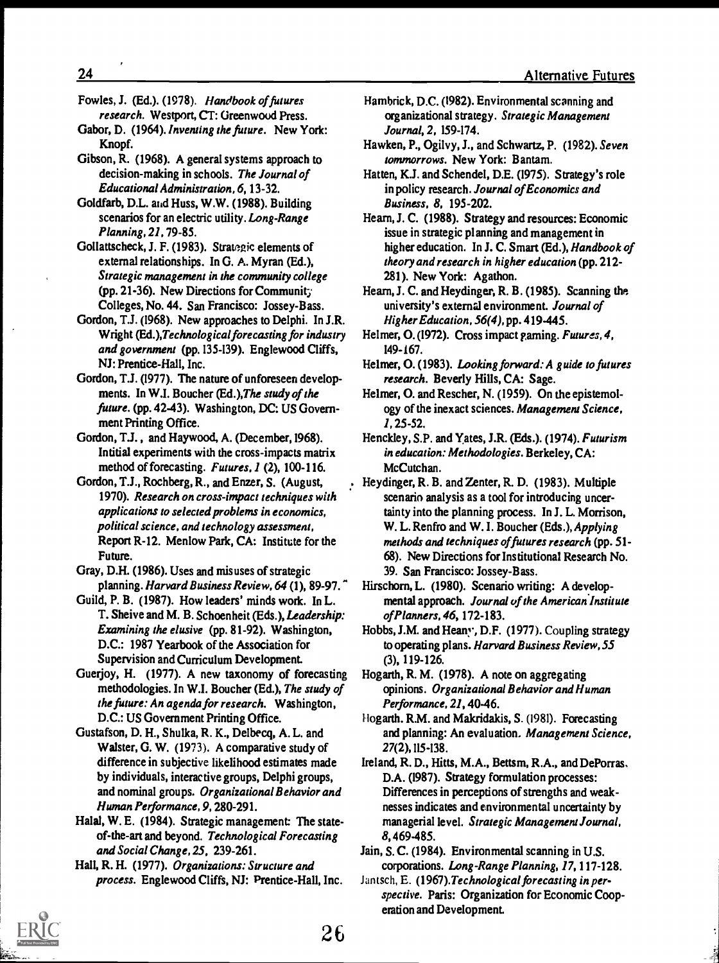- Fowles, J. (Ed.). (1978). Handbook of futures research. Westport, CT: Greenwood Press.
- Gabor, D. (1964). Inventing the future. New York: Knopf.
- Gibson, R. (1968). A general systems approach to decision-making in schools. The Journal of Educational Administration, 6, 13-32.
- Goldfarb, D.L. and Huss, W.W. (1988). Building scenarios for an electric utility. Long-Range Planning, 21, 79-85.
- Gollattscheck, J. F. (1983). Strategic elements of external relationships. In G. A. Myran (Ed.), Strategic management in the community college (pp. 21-36). New Directions for Community Colleges, No. 44. San Francisco: Jossey-Bass.
- Gordon, T.J. (1968). New approaches to Delphi. In J.R. Wright (Ed.),Technological forecasting for industry and government (pp. 135-139). Englewood Cliffs, NJ: Prentice-Hall, Inc.
- Gordon, T.J. (1977). The nature of unforeseen developments. In W.I. Boucher (Ed.), The study of the future. (pp. 42-43). Washington, DC: US Government Printing Office.
- Gordon, T.J. , and Haywood, A. (December,1968). Intitial experiments with the cross-impacts matrix method of forecasting. Futures, 1 (2), 100-116.
- Gordon, T.J., Rochberg, R., and Enzer, S. (August, 1970). Research on cross-impact techniques with applications to selected problems in economics, political science, and technology assessment, Report R-12. Menlow Park, CA: Institute for the Future.
- Gray, D.H. (1986). Uses and misuses of strategic planning. Harvard Business Review, 64 (1), 89-97.
- Guild, P. B. (1987). How leaders' minds work. In L. T. Sheive and M. B. Schoenheit (Eds.), Leadership: Examining the elusive (pp. 81-92). Washington, D.C.: 1987 Yearbook of the Association for Supervision and Curriculum Development.
- Guerjoy, H. (1977). A new taxonomy of forecasting methodologies. In W.I. Boucher (Ed.), The study of the future: An agenda for research. Washington, D.C.: US Government Printing Office.
- Gustafson, D. H., Shulka, R. K., Delbecq, A. L. and Walster, G. W. (1973). A comparative study of difference in subjective likelihood estimates made by individuals, interactive groups, Delphi groups, and nominal groups. Organizational Behavior and Human Performance, 9, 280-291.
- Halal, W. E. (1984). Strategic management: The stateof-the-art and beyond. Technological Forecasting and Social Change, 25, 239-261.
- Hall, R. H. (1977). Organizations: Structure and process. Englewood Cliffs, NJ: Prentice-Hall, Inc.
- Hambrick, D.C. (1982). Environmental scanning and organizational strategy. Strategic Management Journal, 2, 159-174.
- Hawken, P., Ogilvy, J., and Schwartz, P. (1982). Seven tommorrows. New York: Bantam.
- Hatten, K.J. and Schendel, D.E. (1975). Strategy's role in policy research. Journal of Economics and Business, 8, 195-202.
- Hearn, J. C. (1988). Strategy and resources: Economic issue in strategic planning and management in higher education. In J. C. Smart (Ed.), Handbook of theory and research in higher education (pp. 212- 281). New York: Agathon.
- Hearn, J. C. and Heydinger, R. B. (1985). Scanning the university's external environment. Journal of Higher Education, 56(4), pp. 419-445.
- Helmer, 0. (1972). Cross impact gaming. Futures, 4, 149-167.
- Helmer, O. (1983). Looking forward: A guide to futures research. Beverly Hills, CA: Sage.
- Helmer, 0. and Rescher, N. (1959). On the epistemology of the inexact sciences. Management Science, 1,25-52.
- Henckley, S.P. and Yates, J.R. (Eds.). (1974). Futurism in education: Methodologies. Berkeley, CA: McCutchan.
- Heydinger, R. B. and Zenter, R. D. (1983). Multiple scenario analysis as a tool for introducing uncertainty into the planning process. In J. L. Morrison, W. L. Renfro and W. I. Boucher (Eds.), Applying methods and techniques of futures research (pp. 51- 68). New Directions for Institutional Research No. 39. San Francisco: Jossey-Bass.
	- Hirschorn, L. (1980). Scenario writing: A developmental approach. Journal of the American Institute ofPlanners, 46, 172-183.
	- Hobbs, J.M. and Heany, D.F. (1977). Coupling strategy to operating plans. Harvard Business Review, 55 (3), 119-126.
	- Hogarth, R. M. (1978). A note on aggregating opinions. Organizational Behavior and Human Performance, 21, 40-46.
	- Hogarth. R.M. and Makridakis, S. (1981). Forecasting and planning: An evaluation. Management Science, 27(2),115-138.
	- Ireland, R. D., Hitts, M.A., Bettsm, R.A., and DePorras. D.A. (1987). Strategy formulation processes: Differences in perceptions of strengths and weaknesses indicates and environmental uncertainty by managerial level. Strategic Management Journal, 8, 469-485.
	- Jain, S. C. (1984). Environmental scanning in U.S. corporations. Long-Range Planning, 17, 117-128.
	- Jantsch, E. (1967). Technological forecasting in perspective. Paris: Organization for Economic Cooperation and Development.

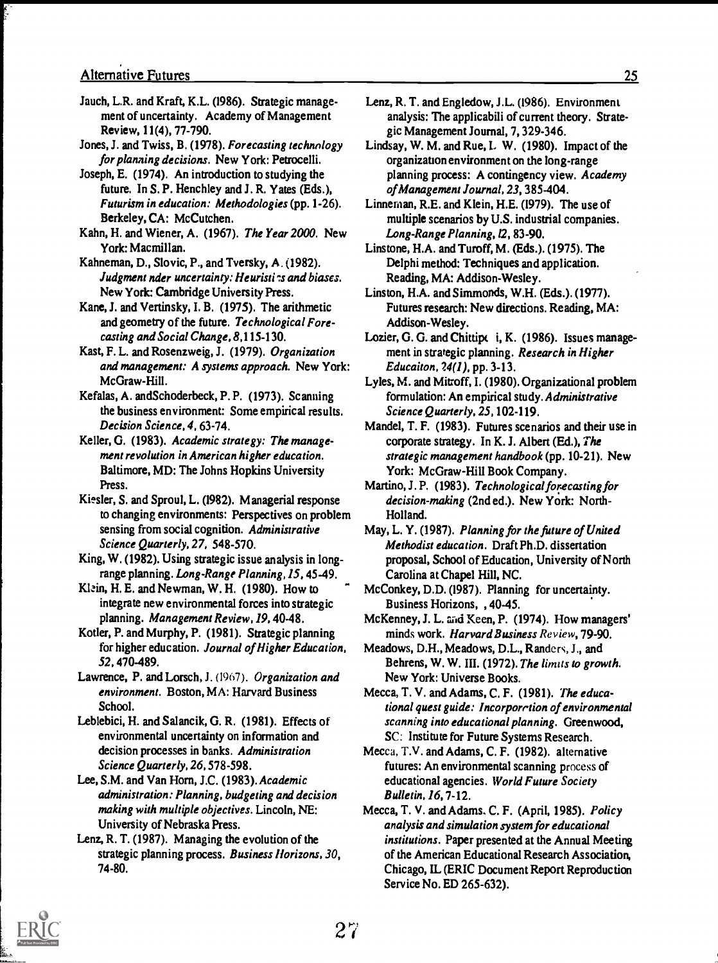- Jauch, L.R. and Kraft, K.L. (1986). Strategic management of uncertainty. Academy of Management Review, 11(4), 77-790.
- Jones, J. and Twiss, B. (1978). Forecasting technology for planning decisions. New York: Petrocelli.
- Joseph, E. (1974). An introduction to studying the future. In S. P. Henchley and J. R. Yates (Eds.), Futurism in education: Methodologies (pp. 1-26). Berkeley, CA: McCutchen.
- Kahn, H. and Wiener, A. (1967). The Year 2000. New York: Macmillan.
- Kahneman, D., Slovic, P., and Tversky, A. (1982). Judgment nder uncertainty: Heuristi as and biases. New York: Cambridge University Press.
- Kane, J. and Vertinsky, I. B. (1975). The arithmetic and geometry of the future. Technological Forecasting and Social Change, 8,115-130.
- Kast, F. L. and Rosenzweig, J. (1979). Organization and management: A systems approach. New York: McGraw-Hill.
- Kefalas, A. andSchoderbeck, P. P. (1973). Scanning the business environment: Some empirical results. Decision Science, 4, 63-74.
- Keller, G. (1983). Academic strategy: The management revolution in American higher education. Baltimore, MD: The Johns Hopkins University Press.
- Kiesler, S. and Sproul, L. (1982). Managerial response to changing environments: Perspectives on problem sensing from social cognition. Administrative Science Quarterly, 27, 548-570.
- King, W. (1982). Using strategic issue analysis in longrange planning. Long-Range Planning,15, 45-49.
- Klein, H. E. and Newman, W. H. (1980). How to integrate new environmental forces into strategic planning. Management Review, 19, 40-48.
- Kotler, P. and Murphy, P. (1981). Strategic planning for higher education. Journal of Higher Education, 52, 470-489.
- Lawrence, P. and Lorsch, J. (1967). Organization and environment. Boston, MA: Harvard Business School.
- Leblebici, H. and Salancik, G. R. (1981). Effects of environmental uncertainty on information and decision processes in banks. Administration Science Quarterly, 26, 578-598.
- Lee, S.M. and Van Horn, J.C. (1983). Academic administration: Planning, budgeting and decision making with multiple objectives. Lincoln, NE: University of Nebraska Press.
- Lenz, R. T. (1987). Managing the evolution of the strategic planning process. Business Horizons, 30, 74-80.
- Lenz, R. T. and Engledow, J.L. (1986). Environment analysis: The applicabili of current theory. Strategic Management Journal, 7, 329-346.
- Lindsay, W. M. and Rue, L W. (1980). Impact of the organization environment on the long-range planning process: A contingency view. Academy of Management Journal, 23, 385-404.
- Linneraan, R.E. and Klein, H.E. (1979). The use of multiple scenarios by U.S. industrial companies. Long-Range Planning, 12, 83-90.
- Linstone, H.A. and Turoff, M. (Eds.). (1975). The Delphi method: Techniques and application. Reading, MA: Addison-Wesley.
- Linston, H.A. and Simmonds, W.H. (Eds.). (1977). Futures research: New directions. Reading, MA: Addison-Wesley.
- Lozier, G. G. and Chittipc i, K. (1986). Issues management in strategic planning. Research in Higher Educaiton,24(1), pp. 3-13.
- Lyles, M. and Mitroff, I. (1980). Organizational problem formulation: An empirical study. Administrative Science Quarterly, 25, 102-119.
- Mandel, T. F. (1983). Futures scenarios and their use in corporate strategy. In K. J. Albert (Ed.), The strategic management handbook (pp. 10-21). New York: McGraw-Hill Book Company.
- Martino, J. P. (1983). Technological forecasting for decision-making (2nd ed.). New York: North-Holland.
- May, L. Y. (1987). Planning for the future of United Methodist education. Draft Ph.D. dissertation proposal, School of Education, University of North Carolina at Chapel Hill, NC.
- McConkey, D.D. (1987). Planning for uncertainty. Business Horizons, 40-45.
- McKenney, J. L. and Keen, P. (1974). How managers' minds work. Harvard Business Review, 79-90.
- Meadows, D.H., Meadows, D.L., Randers, J., and Behrens, W. W. III. (1972). The limits to growth. New York: Universe Books.
- Mecca, T. V. and Adams, C. F. (1981). The educational quest guide: Incorporrtion of environmental scanning into educational planning. Greenwood, SC: Institute for Future Systems Research.
- Mecca, T.V. and Adams, C. F. (1982). alternative futures: An environmental scanning process of educational agencies. World Future Society Bulletin, 16, 7-12.
- Mecca, T. V. and Adams. C. F. (April, 1985). Policy analysis and simulation system for educational institutions. Paper presented at the Annual Meeting of the American Educational Research Association, Chicago, IL (ERIC Document Report Reproduction Service No. ED 265-632).

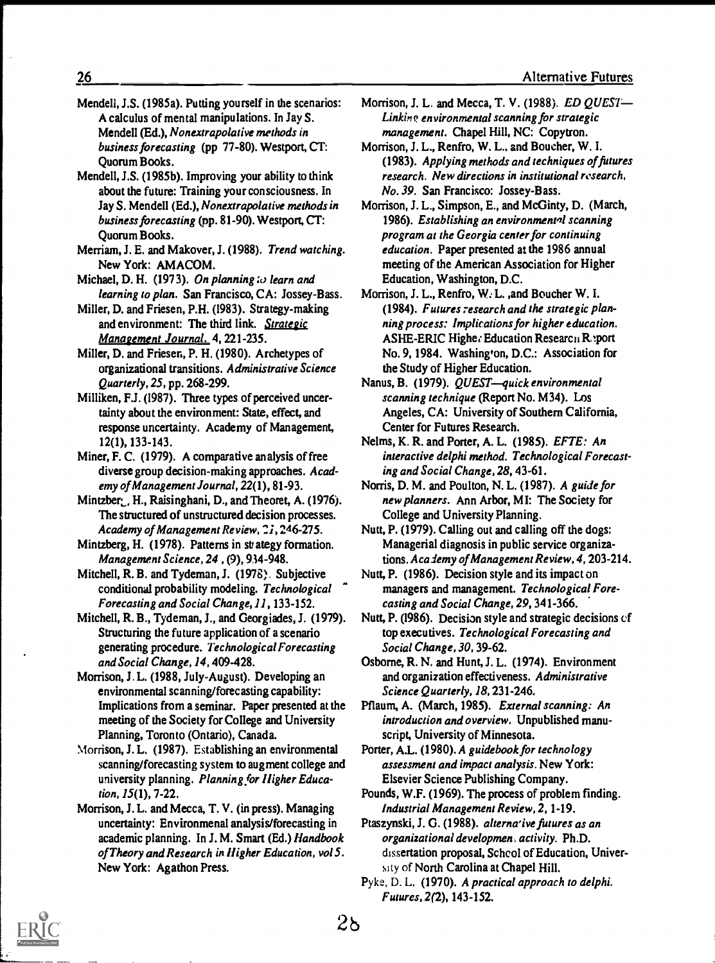- Mendell, J.S. (1985a). Putting yourself in the scenarios: A calculus of mental manipulations. In Jay S. Mendell (Ed.), Nonextrapolative methods in business forecasting (pp 77-80). Westport, CT: Quorum Books.
- Mendell, J.S. (1985b). Improving your ability to think about the future: Training your consciousness. In Jay S. Mendell (Ed.), Nonextrapolative methods in business forecasting (pp. 81-90). Westport, CT: Quorum Books.
- Merriam, J. E. and Makover, J. (1988). Trend watching. New York: AMACOM.
- Michael, D. H. (1973). On planning to learn and learning to plan. San Francisco, CA: Jossey-Bass.
- Miller, D. and Friesen, P.H. (1983). Strategy-making and environment: The third link. Strategic Management Journal. 4, 221-235.
- Miller, D. and Friesen, P. H. (1980). Archetypes of organizational transitions. Administrative Science Quarterly, 25, pp. 268-299.
- Milliken, F.J. (1987). Three types of perceived uncertainty about the environment: State, effect, and response uncertainty. Academy of Management, 12(1), 133-143.
- Miner, F. C. (1979). A comparative analysis of free diverse group decision-making approaches. Academy of Management Journal, 22(1), 81-93.
- Mintzber, H., Raisinghani, D., and Theoret, A.  $(1976)$ . The structured of unstructured decision processes. Academy of Management Review, 21, 246-275.
- Mintzberg, H. (1978). Patterns in strategy formation. Management Science, 24 , (9), 934-948.
- Mitchell, R. B. and Tydeman, J. (1978). Subjective conditional probability modeling. Technological Forecasting and Social Change, 11, 133-152.
- Mitchell, R. B., Tydeman, J., and Georgiades, J. (1979). Structuring the future application of a scenario generating procedure. Technological Forecasting and Social Change, 14, 409-428.
- Morrison, J. L. (1988, July-August). Developing an environmental scanning/forecasting capability: Implications from a seminar. Paper presented at the meeting of the Society for College and University Planning, Toronto (Ontario), Canada.
- Morrison, J. L. (1987). Establishing an environmental scanning/forecasting system to augment college and university planning. Planning for Higher Education, 15(1), 7-22.
- Morrison, J. L. and Mecca, T. V. (in press). Managing uncertainty: Environmenal analysis/forecasting in academic planning. In J. M. Smart (Ed.) Handbook of Theory and Research in Higher Education, vol S. New York: Agathon Press.
- Morrison, J. L. and Mecca, T. V. (1988). ED QUEST-Linking environmental scanning for strategic management. Chapel Hill, NC: Copytron.
- Morrison, J. L., Renfro, W. L.. and Boucher, W. I. (1983). Applying methods and techniques of futures research. New directions in institutional research, No. 39. San Francisco: Jossey-Bass.
- Morrison, J. L., Simpson, E., and McGinty, D. (March, 1986). Establishing an environmental scanning program at the Georgia center for continuing education. Paper presented at the 1986 annual meeting of the American Association for Higher Education, Washington, D.C.
- Morrison, J. L., Renfro, W. L. ,and Boucher W. I. (1984). Futures research and the strategic planning process: implications for higher education. ASHE-ERIC Higher Education Researc in Rapport No. 9, 1984. Washington, D.C.: Association for the Study of Higher Education.
- Nanus, B. (1979). QUEST-quick environmental scanning technique (Report No. M34). Los Angeles, CA: University of Southern California, Center for Futures Research.
- Nelms, K. R. and Porter, A. L. (1985). EFTE: An interactive delphi method. Technological Forecasting and Social Change, 28, 43-61.
- Norris, D. M. and Poulton, N. L. (1987). A guide for new planners. Ann Arbor, MI: The Society for College and University Planning.
- Nutt, P. (1979). Calling out and calling off the dogs: Managerial diagnosis in public service organizations. Academy of Management Review, 4, 203-214.
- Nutt, P. (1986). Decision style and its impact on managers and management. Technological Forecasting and Social Change, 29, 341-366.
- Nutt, P. (1986). Decision style and strategic decisions of top executives. Technological Forecasting and Social Change, 30, 39-62.
- Osborne, R. N. and Hunt, J. L. (1974). Environment and organization effectiveness. Administrative Science Quarterly, 18, 231-246.
- Pflaum, A. (March, 1985). External scanning: An introduction and overview. Unpublished manuscript, University of Minnesota.
- Porter, A.L. (1980). A guidebook for technology assessment and impact analysis. New York: Elsevier Science Publishing Company.
- Pounds, W.F. (1969). The process of problem finding. Industrial Management Review, 2, 1-19.
- Ptaszynski, J. G. (1988). alterna'ive futures as an organizational developmen. activity. Ph.D. dissertation proposal, School of Education, University of North Carolina at Chapel Hill.
- Pyke, D. L. (1970). A practical approach to delphi. Futures, 2(2), 143-152.



26